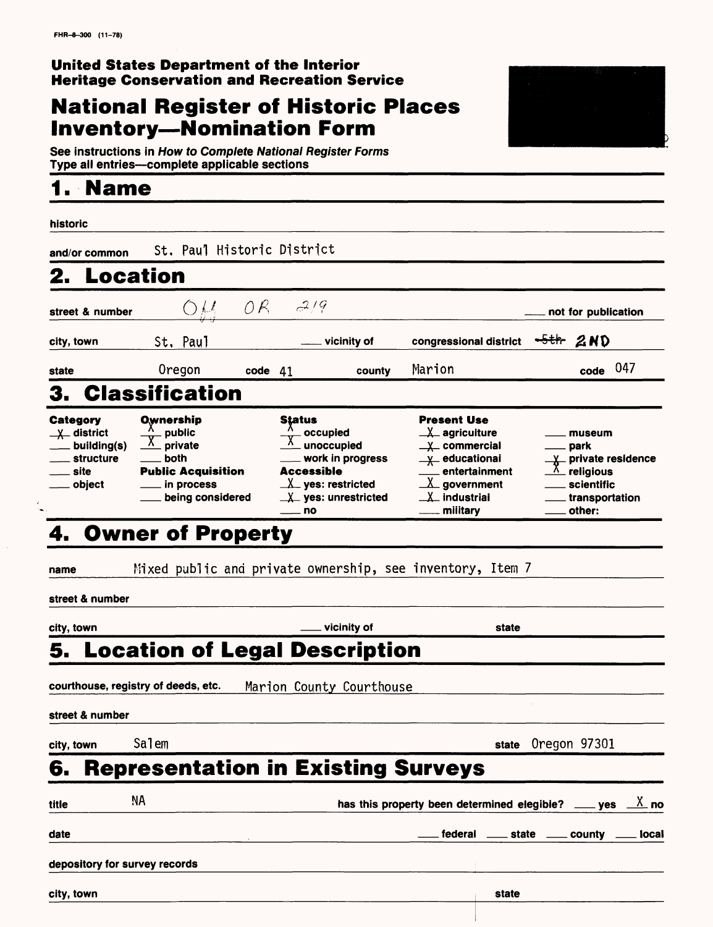## **National Register of Historic Places Inventory—Nomination Form**



See instructions in How to Complete National Register Forms Type all entries—complete applicable sections

## **1. Name\_\_\_\_\_\_\_\_\_\_\_\_\_\_\_\_\_**

| historic                                                                           |                                                                                                       |         |                                                                                                                                |                                                                                                                                                                                                               |       |                                                                                                        |             |
|------------------------------------------------------------------------------------|-------------------------------------------------------------------------------------------------------|---------|--------------------------------------------------------------------------------------------------------------------------------|---------------------------------------------------------------------------------------------------------------------------------------------------------------------------------------------------------------|-------|--------------------------------------------------------------------------------------------------------|-------------|
| and/or common                                                                      | St. Paul Historic District                                                                            |         |                                                                                                                                |                                                                                                                                                                                                               |       |                                                                                                        |             |
| Location                                                                           |                                                                                                       |         |                                                                                                                                |                                                                                                                                                                                                               |       |                                                                                                        |             |
| street & number                                                                    |                                                                                                       |         | $OH$ $OR$ $2/9$                                                                                                                |                                                                                                                                                                                                               |       | not for publication                                                                                    |             |
| city, town                                                                         | St. Paul                                                                                              |         | vicinity of                                                                                                                    | congressional district                                                                                                                                                                                        |       | $-5$ th $2ND$                                                                                          |             |
| state                                                                              | Oregon                                                                                                | code 41 | county                                                                                                                         | Marion                                                                                                                                                                                                        |       | $code$ 047                                                                                             |             |
|                                                                                    | <b>Classification</b>                                                                                 |         |                                                                                                                                |                                                                                                                                                                                                               |       |                                                                                                        |             |
| Category<br>$\chi$ district<br>building(s)<br><b>structure</b><br>. site<br>object | Ownership<br>public<br>private<br>both<br><b>Public Acquisition</b><br>in process<br>being considered |         | Status<br>occupied<br>unoccupied<br>work in progress<br>Accessible<br>$\perp$ yes: restricted<br>$X$ yes: unrestricted<br>— no | <b>Present Use</b><br>$\perp\!\!\!\perp$ agricuiture<br>$\underline{\mathsf{y}}$ commercial<br>X educational<br>entertainment<br>$\underline{\lambda}$ government<br>$\perp$ industriai<br><u>__</u> military |       | museum<br>park<br>X private residence<br>$\Lambda$ religious<br>scientific<br>transportation<br>other: |             |
|                                                                                    | <b>Owner of Property</b>                                                                              |         |                                                                                                                                |                                                                                                                                                                                                               |       |                                                                                                        |             |
| name<br>street & number                                                            |                                                                                                       |         | Mixed public and private ownership, see inventory, Item 7                                                                      |                                                                                                                                                                                                               |       |                                                                                                        |             |
| city, town                                                                         |                                                                                                       |         | vicinity of                                                                                                                    |                                                                                                                                                                                                               | state |                                                                                                        |             |
| street & number                                                                    | courthouse, registry of deeds, etc.                                                                   |         | <b>Location of Legal Description</b><br>Marion County Courthouse                                                               |                                                                                                                                                                                                               |       |                                                                                                        |             |
| city, town                                                                         | Salem                                                                                                 |         |                                                                                                                                |                                                                                                                                                                                                               | state | Oregon 97301                                                                                           |             |
| 6.                                                                                 |                                                                                                       |         | <b>Representation in Existing Surveys</b>                                                                                      |                                                                                                                                                                                                               |       |                                                                                                        |             |
| title                                                                              | ΝA                                                                                                    |         |                                                                                                                                | has this property been determined elegible?                                                                                                                                                                   |       | $\rule{1em}{0.15mm}$ yes                                                                               | <u>Х</u> по |
| date                                                                               |                                                                                                       |         |                                                                                                                                | federal                                                                                                                                                                                                       | state | county _                                                                                               | local       |
| depository for survey records                                                      |                                                                                                       |         |                                                                                                                                |                                                                                                                                                                                                               |       |                                                                                                        |             |
| city, town                                                                         |                                                                                                       |         |                                                                                                                                |                                                                                                                                                                                                               | state |                                                                                                        |             |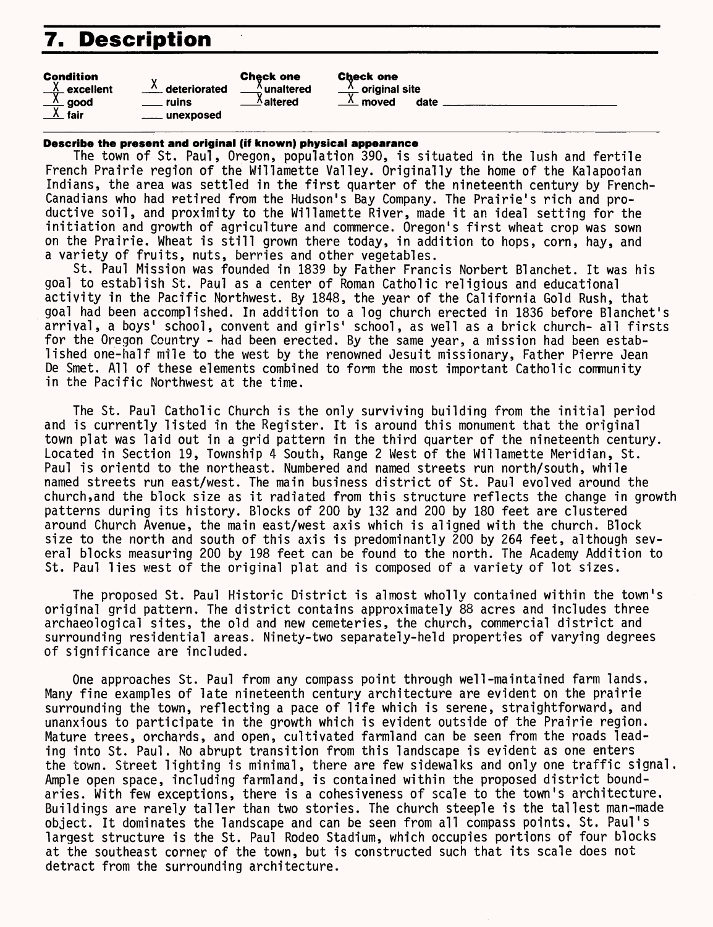## **7. Description**

| <b>Check one</b>                            | <b>Check one</b><br>$\frac{\lambda}{\lambda}$ original site |
|---------------------------------------------|-------------------------------------------------------------|
| $\stackrel{\text{X}}{\mathbb{L}}$ unaltered | moved                                                       |
| $\Lambda$ altered                           | $\overline{\phantom{a}}$                                    |
|                                             |                                                             |

 $\sim$ 

**Describe the present and original (if known) physical appearance** 

The town of St. Paul, Oregon, population 390, is situated in the lush and fertile French Prairie region of the Willamette Valley. Originally the home of the Kalapooian Indians, the area was settled in the first quarter of the nineteenth century by French-Canadians who had retired from the Hudson's Bay Company. The Prairie's rich and productive soil, and proximity to the Willamette River, made it an ideal setting for the initiation and growth of agriculture and commerce. Oregon's first wheat crop was sown on the Prairie. Wheat is still grown there today, in addition to hops, corn, hay, and a variety of fruits, nuts, berries and other vegetables.

date

St. Paul Mission was founded in 1839 by Father Francis Norbert Blanchet. It was his goal to establish St. Paul as a center of Roman Catholic religious and educational activity in the Pacific Northwest. By 1848, the year of the California Gold Rush, that goal had been accomplished. In addition to a log church erected in 1836 before Blanchet's arrival, a boys' school, convent and girls' school, as well as a brick church- all firsts for the Oregon Country - had been erected. By the same year, a mission had been established one-half mile to the west by the renowned Jesuit missionary, Father Pierre Jean De Smet. All of these elements combined to form the most important Catholic community in the Pacific Northwest at the time.

The St. Paul Catholic Church is the only surviving building from the initial period and is currently listed in the Register. It is around this monument that the original town plat was laid out in a grid pattern in the third quarter of the nineteenth century. Located in Section 19, Township 4 South, Range 2 West of the Willamette Meridian, St. Paul is orientd to the northeast. Numbered and named streets run north/south, while named streets run east/west. The main business district of St. Paul evolved around the church,and the block size as it radiated from this structure reflects the change in growth patterns during its history. Blocks of 200 by 132 and 200 by 180 feet are clustered around Church Avenue, the main east/west axis which is aligned with the church. Block size to the north and south of this axis is predominantly 200 by 264 feet, although several blocks measuring 200 by 198 feet can be found to the north. The Academy Addition to St. Paul lies west of the original plat and is composed of a variety of lot sizes.

The proposed St. Paul Historic District is almost wholly contained within the town's original grid pattern. The district contains approximately 88 acres and includes three archaeological sites, the old and new cemeteries, the church, commercial district and surrounding residential areas. Ninety-two separately-held properties of varying degrees of significance are included.

One approaches St. Paul from any compass point through well-maintained farm lands. Many fine examples of late nineteenth century architecture are evident on the prairie surrounding the town, reflecting a pace of life which is serene, straightforward, and unanxious to participate in the growth which is evident outside of the Prairie region. Mature trees, orchards, and open, cultivated farmland can be seen from the roads leading into St. Paul. No abrupt transition from this landscape is evident as one enters the town. Street lighting is minimal, there are few sidewalks and only one traffic signal. Ample open space, including farmland, is contained within the proposed district boundaries. With few exceptions, there is a cohesiveness of scale to the town's architecture. Buildings are rarely taller than two stories. The church steeple is the tallest man-made object. It dominates the landscape and can be seen from all compass points, St. Paul's largest structure is the St. Paul Rodeo Stadium, which occupies portions of four blocks at the southeast corner of the town, but is constructed such that its scale does not detract from the surrounding architecture.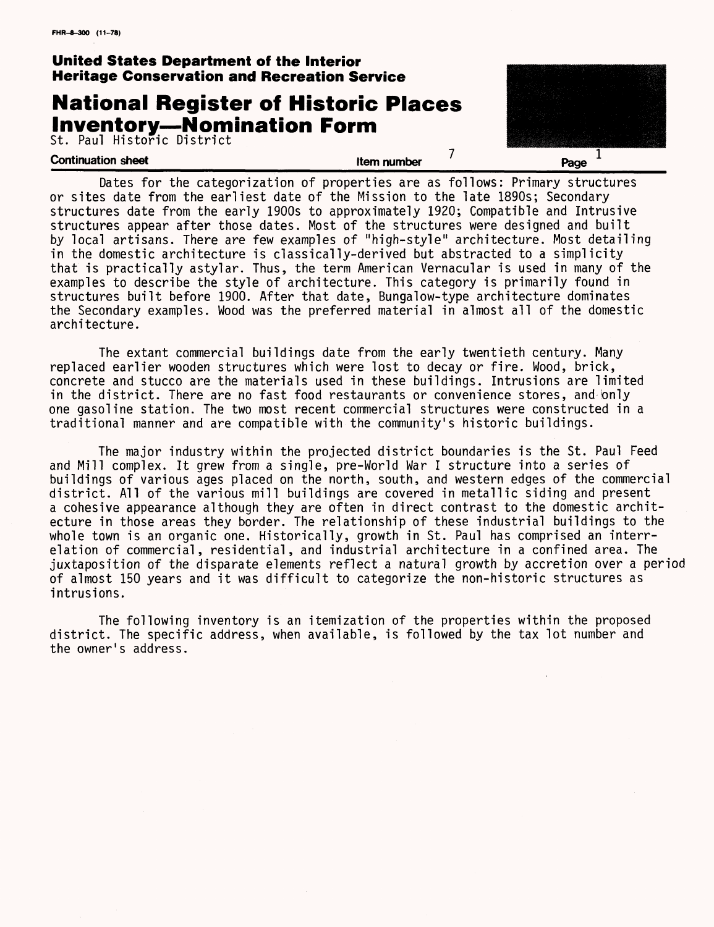## **National Register of Historic Places Inventory—Nominati**

St. Paul Historic District

| i <b>on Form</b> |  |
|------------------|--|
|                  |  |



Dates for the categorization of properties are as follows: Primary structures or sites date from the earliest date of the Mission to the late 1890s; Secondary structures date from the early 1900s to approximately 1920; Compatible and Intrusive structures appear after those dates. Most of the structures were designed and built by local artisans. There are few examples of "high-style" architecture. Most detailing in the domestic architecture is classically-derived but abstracted to a simplicity that is practically astylar. Thus, the term American Vernacular is used in many of the examples to describe the style of architecture. This category is primarily found in structures built before 1900. After that date, Bungalow-type architecture dominates the Secondary examples. Wood was the preferred material in almost all of the domestic architecture.

The extant commercial buildings date from the early twentieth century. Many replaced earlier wooden structures which were lost to decay or fire. Wood, brick, concrete and stucco are the materials used in these buildings. Intrusions are limited in the district. There are no fast food restaurants or convenience stores, and only one gasoline station. The two most recent commercial structures were constructed in a traditional manner and are compatible with the community's historic buildings.

The major industry within the projected district boundaries is the St. Paul Feed and Mill complex. It grew from a single, pre-World War I structure into a series of buildings of various ages placed on the north, south, and western edges of the commercial district. All of the various mill buildings are covered in metallic siding and present a cohesive appearance although they are often in direct contrast to the domestic architecture in those areas they border. The relationship of these industrial buildings to the whole town is an organic one. Historically, growth in St. Paul has comprised an interrelation of commercial, residential, and industrial architecture in a confined area. The juxtaposition of the disparate elements reflect a natural growth by accretion over a period of almost 150 years and it was difficult to categorize the non-historic structures as intrusions.

The following inventory is an itemization of the properties within the proposed district. The specific address, when available, is followed by the tax lot number and the owner's address.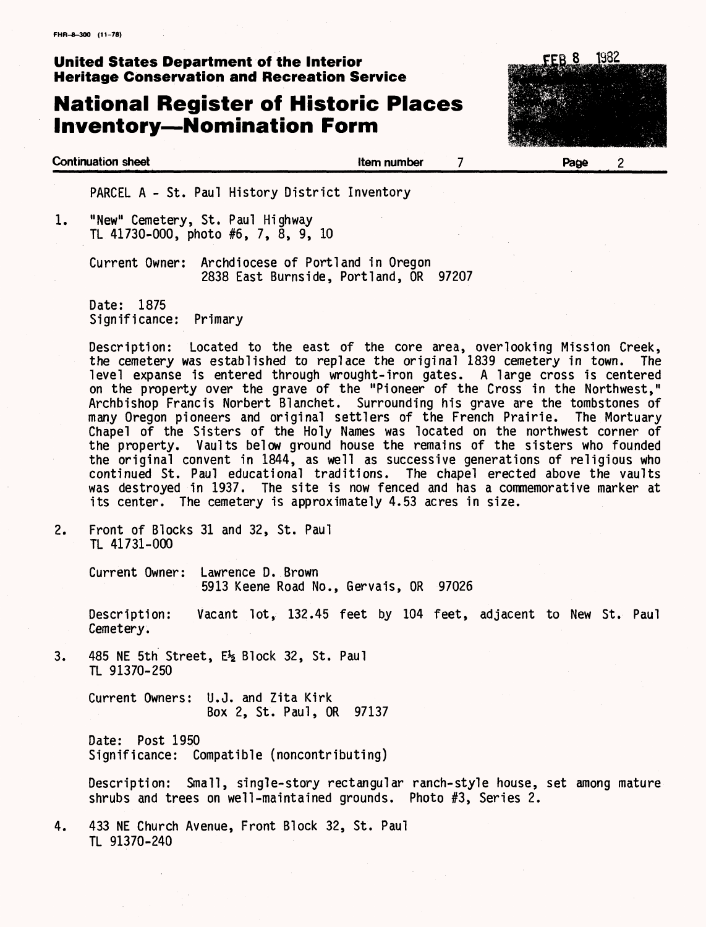**Continuation sheet Item number** 

## **National Register of Historic Places Inventory—Nomination Form**



PARCEL A - St. Paul History District Inventory

1. "New" Cemetery, St. Paul Highway TL 41730-000, photo #6, 7, 8, 9, 10

> Current Owner: Archdiocese of Portland in Oregon 2838 East Burnside, Portland, OR 97207

Date: 1875 Significance: Primary

Description: Located to the east of the core area, overlooking Mission Creek, the cemetery was established to replace the original 1839 cemetery in town. The level expanse is entered through wrought-iron gates. A large cross is centered on the property over the grave of the "Pioneer of the Cross in the Northwest," Archbishop Francis Norbert Blanchet. Surrounding his grave are the tombstones of many Oregon pioneers and original settlers of the French Prairie. The Mortuary Chapel of the Sisters of the Holy Names was located on the northwest corner of the property. Vaults below ground house the remains of the sisters who founded the original convent in 1844, as well as successive generations of religious who continued St. Paul educational traditions. The chapel erected above the vaults was destroyed in 1937. The site is now fenced and has a commemorative marker at its center. The cemetery is approximately 4.53 acres in size.

 $\overline{7}$ 

2. Front of Blocks 31 and 32, St. Paul TL 41731-000

> Current Owner: Lawrence D. Brown 5913 Keene Road No., Gervais, OR 97026

Description: Vacant lot, 132.45 feet by 104 feet, adjacent to New St. Paul Cemetery.

3.  $485$  NE 5th Street,  $E_2$  Block 32, St. Paul TL 91370-250

> Current Owners: U.J. and Zita Kirk Box 2, St. Paul, OR 97137

> Date: Post 1950 Significance: Compatible (noncontributing)

Description: Small, single-story rectangular ranch-style house, set among mature shrubs and trees on well-maintained grounds. Photo #3, Series 2.

4. 433 NE Church Avenue, Front Block 32, St. Paul TL 91370-240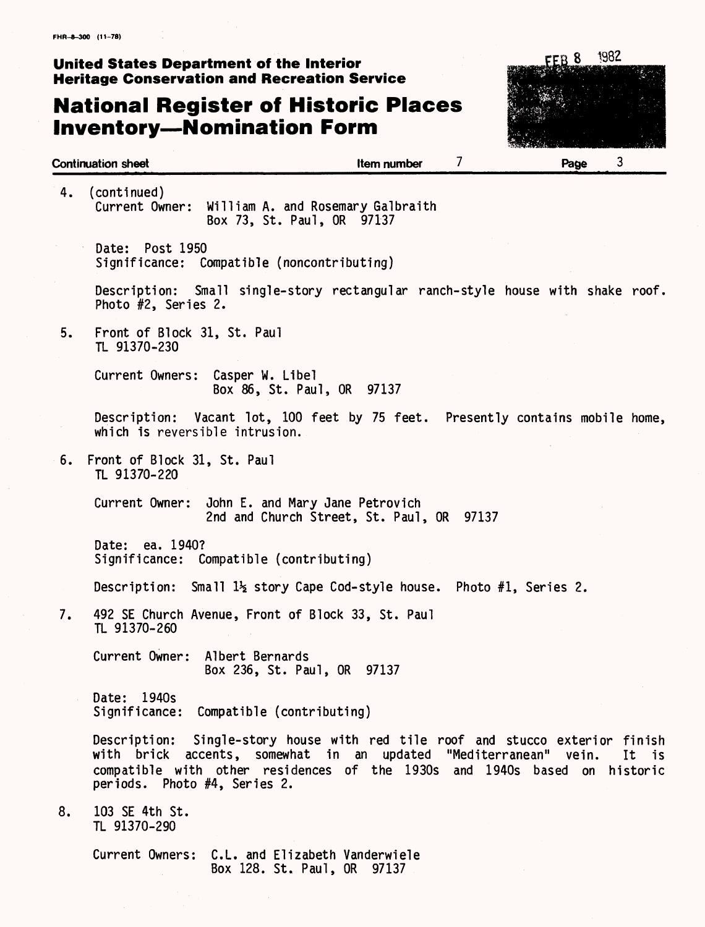## **National Register of Historic Places Inventory—Nomination Form**



| <b>Continuation sheet</b>                                                                                                                                                                                                                             | 7<br><b>Item number</b>                                         | 3<br>Page         |
|-------------------------------------------------------------------------------------------------------------------------------------------------------------------------------------------------------------------------------------------------------|-----------------------------------------------------------------|-------------------|
| $($ continued $)$<br>4.<br>Current Owner:                                                                                                                                                                                                             | William A. and Rosemary Galbraith<br>Box 73, St. Paul, OR 97137 |                   |
| Date: Post 1950<br>Significance: Compatible (noncontributing)                                                                                                                                                                                         |                                                                 |                   |
| Description: Small single-story rectangular ranch-style house with shake roof.<br>Photo #2, Series 2.                                                                                                                                                 |                                                                 |                   |
| Front of Block 31, St. Paul<br>5.<br>TL 91370-230                                                                                                                                                                                                     |                                                                 |                   |
| Current Owners: Casper W. Libel                                                                                                                                                                                                                       | Box 86, St. Paul, OR 97137                                      |                   |
| Description: Vacant lot, 100 feet by 75 feet. Presently contains mobile home,<br>which is reversible intrusion.                                                                                                                                       |                                                                 |                   |
| Front of Block 31, St. Paul<br>6.<br>TL 91370-220                                                                                                                                                                                                     |                                                                 |                   |
| Current Owner: John E. and Mary Jane Petrovich                                                                                                                                                                                                        | 2nd and Church Street, St. Paul, OR 97137                       |                   |
| Date: ea. 1940?<br>Significance: Compatible (contributing)                                                                                                                                                                                            |                                                                 |                   |
| Description: Small $1\frac{1}{2}$ story Cape Cod-style house. Photo #1, Series 2.                                                                                                                                                                     |                                                                 |                   |
| 7.<br>492 SE Church Avenue, Front of Block 33, St. Paul<br>TL 91370-260                                                                                                                                                                               |                                                                 |                   |
| Current Owner:<br>Albert Bernards                                                                                                                                                                                                                     | Box 236, St. Paul, OR 97137                                     |                   |
| Date: 1940s<br>Significance: Compatible (contributing)                                                                                                                                                                                                |                                                                 |                   |
| Description: Single-story house with red tile roof and stucco exterior finish<br>with brick accents, somewhat in an updated "Mediterranean" vein.<br>compatible with other residences of the 1930s and 1940s based on<br>periods. Photo #4, Series 2. |                                                                 | It is<br>historic |
| 103 SE 4th St.<br>8.<br>TL 91370-290                                                                                                                                                                                                                  |                                                                 |                   |
| Current Owners: C.L. and Elizabeth Vanderwiele                                                                                                                                                                                                        |                                                                 |                   |

Box 128. St. Paul, OR 97137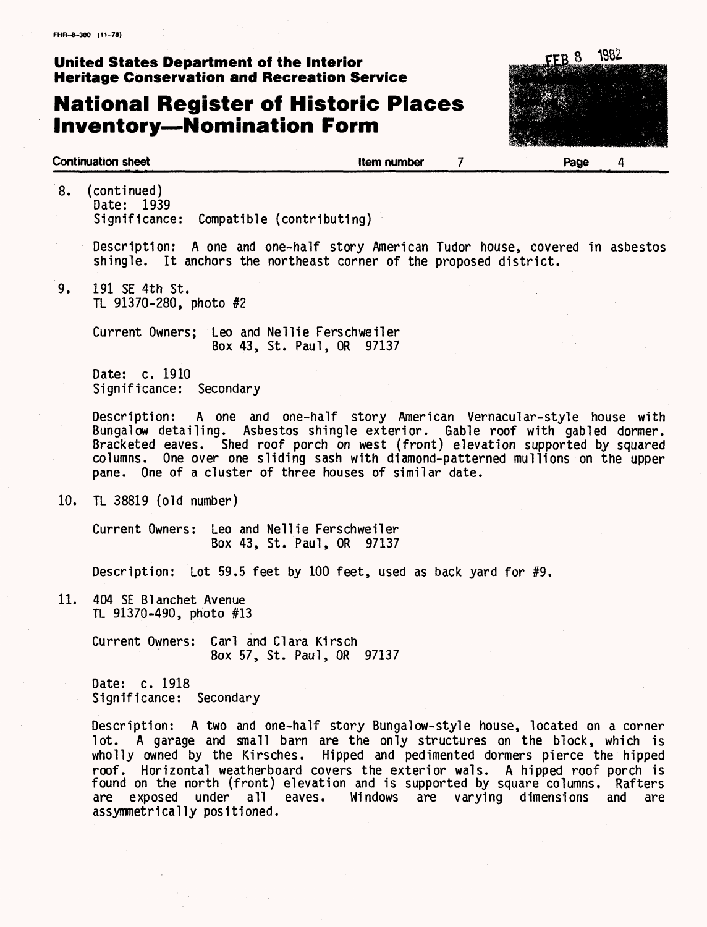## **National Register of Historic Places Inventory—Nomination Form**



- 8. (continued) Date: 1939 Significance: Compatible (contributing)
	- Description: A one and one-half story American Tudor house, covered in asbestos shingle. It anchors the northeast corner of the proposed district.
- 9. 191 SE 4th St. TL 91370-280, photo #2

Current Owners; Leo and Nellie Ferschweiler Box 43, St. Paul, OR 97137

Date: c. 1910 Significance: Secondary

Description: A one and one-half story American Vernacular-style house with Bungalow detailing. Asbestos shingle exterior. Gable roof with gabled dormer. Bracketed eaves. Shed roof porch on west (front) elevation supported by squared columns. One over one sliding sash with diamond-patterned mullions on the upper pane. One of a cluster of three houses of similar date.

10. TL 38819 (old number)

Current Owners: Leo and Nellie Ferschweiler Box 43, St. Paul, OR 97137

Description: Lot 59.5 feet by 100 feet, used as back yard for #9.

11. 404 SE Blanchet Avenue TL 91370-490, photo #13

> Current Owners: Carl and Clara Kirsch Box 57, St. Paul, OR 97137

Date: c. 1918 Significance: Secondary

Description: A two and one-half story Bungalow-style house, located on a corner lot. A garage and small barn are the only structures on the block, which is wholly owned by the Kirsches. Hipped and pedimented dormers pierce the hipped roof. Horizontal weatherboard covers the exterior wals. A hipped roof porch is found on the north (front) elevation and is supported by square columns. Rafters<br>are exposed under all eaves. Windows are varying dimensions and are Windows are varying dimensions and are assymmetrically positioned.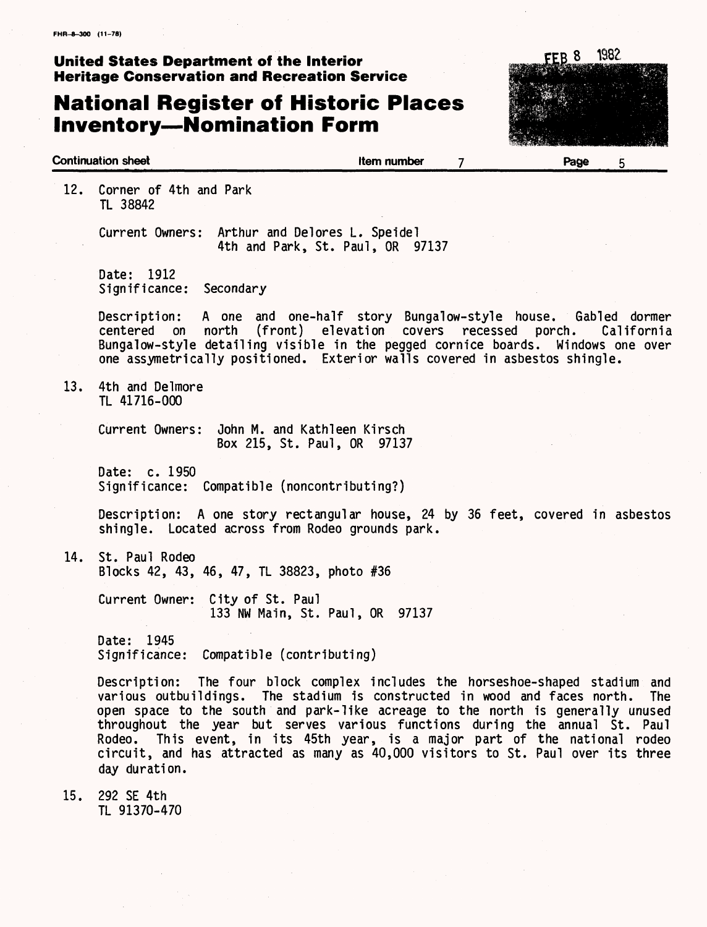## **National Register of Historic Places Inventory—Nomination Form**



12. Corner of 4th and Park TL 38842

> Current Owners: Arthur and Delores L. Speidel 4th and Park, St. Paul, OR 97137

Date: 1912 Significance: Secondary

Description: A one and one-half story Bungalow-style house. Gabled dormer<br>centered on north (front) elevation covers recessed porch. California centered on north (front) elevation covers recessed porch. Bungalow-style detailing visible in the pegged cornice boards. Windows one over one assymetrically positioned. Exterior walls covered in asbestos shingle.

13. 4th and Delmore TL 41716-000

> Current Owners: John M. and Kathleen Kirsch Box 215, St. Paul, OR 97137

Date: c. 1950 Significance: Compatible (noncontributing?)

Description: A one story rectangular house, 24 by 36 feet, covered in asbestos shingle. Located across from Rodeo grounds park.

14. St. Paul Rodeo Blocks 42, 43, 46, 47, TL 38823, photo #36

> Current Owner: City of St. Paul 133 NW Main, St. Paul, OR 97137

Date: 1945 Significance: Compatible (contributing)

Description: The four block complex includes the horseshoe-shaped stadium and various outbuildings. The stadium is constructed in wood and faces north. The open space to the south and park-like acreage to the north is generally unused throughout the year but serves various functions during the annual St. Paul Rodeo. This event, in its 45th year, is a major part of the national rodeo circuit, and has attracted as many as 40,000 visitors to St. Paul over its three day duration.

15. 292 SE 4th TL 91370-470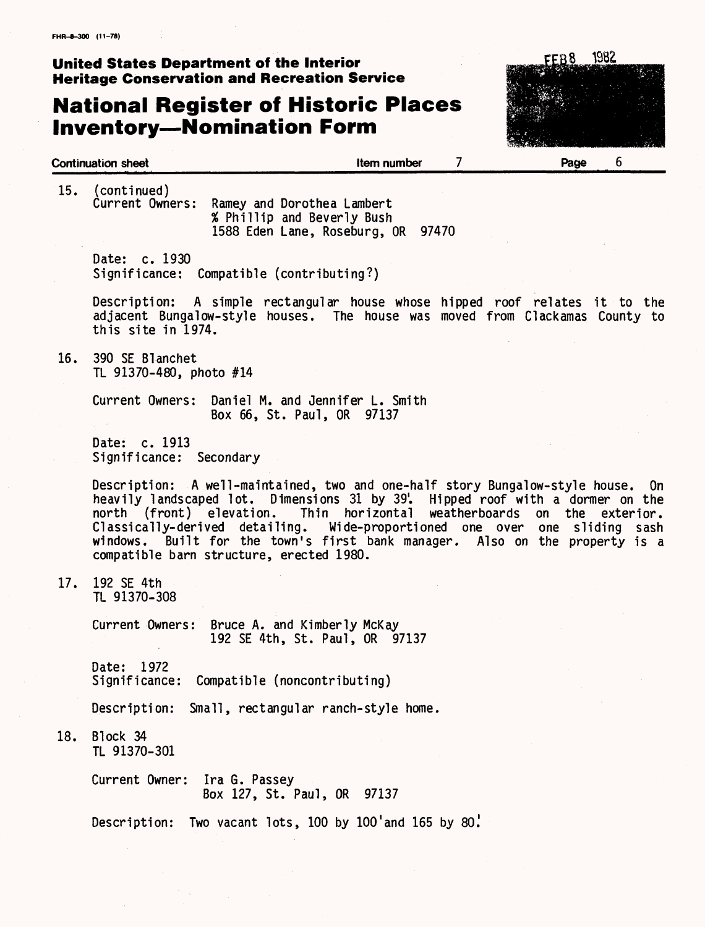# **National Register of Historic Places**



|     | 15. (continued)                            |                                                                                                                                                                                                                                                                                                                                                                           |                               |                  |  |
|-----|--------------------------------------------|---------------------------------------------------------------------------------------------------------------------------------------------------------------------------------------------------------------------------------------------------------------------------------------------------------------------------------------------------------------------------|-------------------------------|------------------|--|
|     |                                            | Current Owners: Ramey and Dorothea Lambert<br>% Phillip and Beverly Bush<br>1588 Eden Lane, Roseburg, OR 97470                                                                                                                                                                                                                                                            |                               |                  |  |
|     | Date: c. 1930                              | Significance: Compatible (contributing?)                                                                                                                                                                                                                                                                                                                                  |                               |                  |  |
|     | this site in 1974.                         | Description: A simple rectangular house whose hipped roof relates it to the<br>adjacent Bungalow-style houses. The house was moved from Clackamas County to                                                                                                                                                                                                               |                               |                  |  |
| 16. | 390 SE Blanchet<br>TL 91370-480, photo #14 |                                                                                                                                                                                                                                                                                                                                                                           |                               |                  |  |
|     |                                            | Current Owners: Daniel M. and Jennifer L. Smith<br>Box 66, St. Paul, OR 97137                                                                                                                                                                                                                                                                                             |                               |                  |  |
|     | Date: c. 1913<br>Significance: Secondary   |                                                                                                                                                                                                                                                                                                                                                                           |                               |                  |  |
|     | north (front) elevation.                   | Description: A well-maintained, two and one-half story Bungalow-style house. On<br>heavily landscaped lot. Dimensions 31 by 39. Hipped roof with a dormer on the<br>Classically-derived detailing. Wide-proportioned one over one sliding sash<br>windows. Built for the town's first bank manager. Also on the property is a<br>compatible barn structure, erected 1980. | Thin horizontal weatherboards | on the exterior. |  |
| 17. | 192 SE 4th<br>TL 91370-308                 |                                                                                                                                                                                                                                                                                                                                                                           |                               |                  |  |
|     |                                            | Current Owners: Bruce A. and Kimberly McKay<br>192 SE 4th, St. Paul, OR 97137                                                                                                                                                                                                                                                                                             |                               |                  |  |
|     | 1972<br>Date:<br>Significance:             | Compatible (noncontributing)                                                                                                                                                                                                                                                                                                                                              |                               |                  |  |
|     | Description:                               | Small, rectangular ranch-style home.                                                                                                                                                                                                                                                                                                                                      |                               |                  |  |
| 18. | Block 34<br>TL 91370-301                   |                                                                                                                                                                                                                                                                                                                                                                           |                               |                  |  |
|     | Current Owner:                             | Ira G. Passey<br>Box 127, St. Paul, OR 97137                                                                                                                                                                                                                                                                                                                              |                               |                  |  |
|     | Description:                               | Two vacant lots, 100 by 100'and 165 by 80.                                                                                                                                                                                                                                                                                                                                |                               |                  |  |
|     |                                            |                                                                                                                                                                                                                                                                                                                                                                           |                               |                  |  |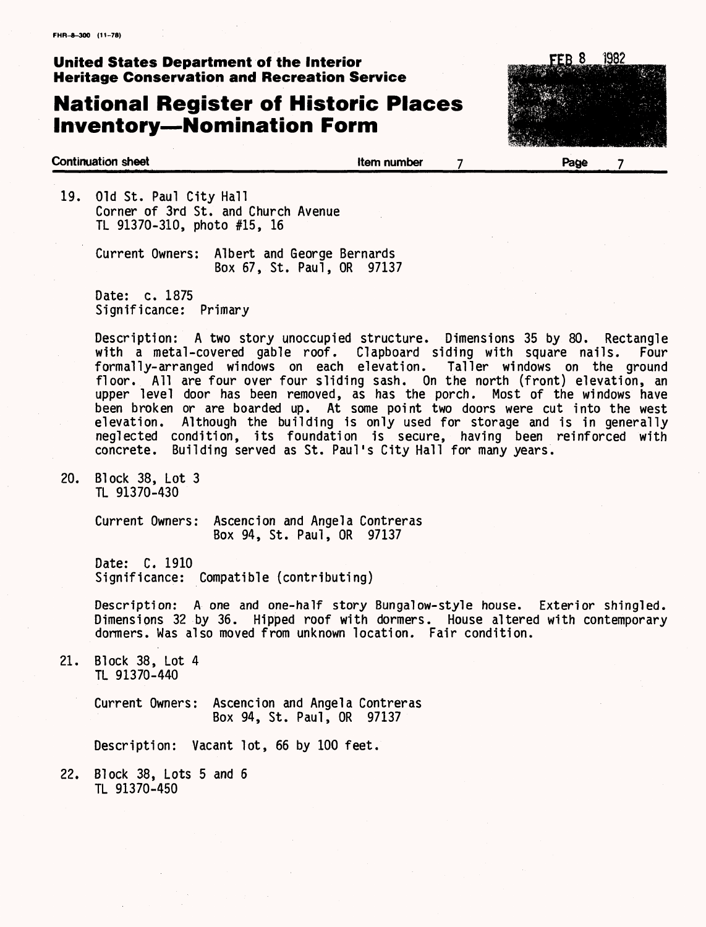## **National Register of Historic Places Inventory—Nomination Form**



 $\overline{7}$ 

#### **Continuation sheet Item number Page**

19. Old St. Paul City Hall Corner of 3rd St. and Church Avenue TL 91370-310, photo #15, 16

> Current Owners: Albert and George Bernards Box 67, St. Paul, OR 97137

Date: c. 1875 Significance: Primary

Description: A two story unoccupied structure. Dimensions 35 by 80. Rectangle with a metal-covered gable roof. Clapboard siding with square nails. Four formally-arranged windows on each elevation. Taller windows on the ground floor. All are four over four sliding sash. On the north (front) elevation, an upper level door has been removed, as has the porch. Most of the windows have been broken or are boarded up. At some point two doors were cut into the west elevation. Although the building is only used for storage and is in generally neglected condition, its foundation is secure, having been reinforced with concrete. Building served as St. Paul's City Hall for many years.

20. Block 38, Lot 3 TL 91370-430

> Current Owners: Ascencion and Angela Contreras Box 94, St. Paul, OR 97137

Date: C. 1910 Significance: Compatible (contributing)

Description: A one and one-half story Bungalow-style house. Exterior shingled. Dimensions 32 by 36. Hipped roof with dormers. House altered with contemporary dormers. Was also moved from unknown location. Fair condition.

21. Block 38, Lot 4 TL 91370-440

> Current Owners: Ascencion and Angela Contreras Box 94, St. Paul, OR 97137

Description: Vacant lot, 66 by 100 feet.

22. Block 38, Lots 5 and 6 TL 91370-450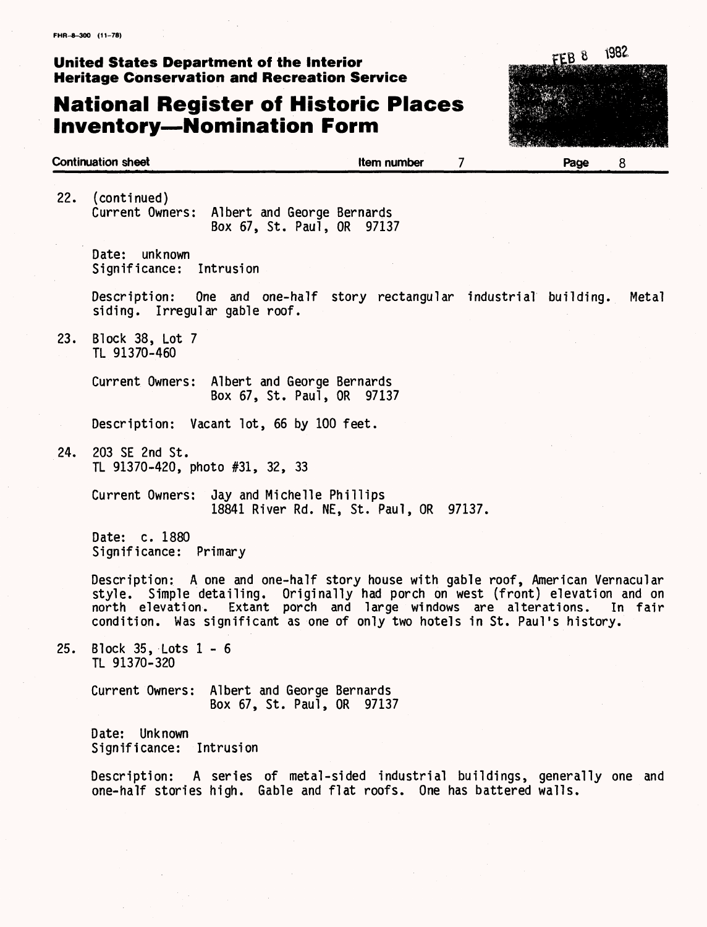## **National Register of Historic Places Inventory—Nomination Form**



22. (continued) Current Owners: Albert and George Bernards Box 67, St. Paul, OR 97137

Date: unknown Significance: Intrusion

Description: One and one-half story rectangular industrial building. Metal siding. Irregular gable roof.

23. Block 38, Lot 7 TL 91370-460

> Current Owners: Albert and George Bernards Box 67, St. Paul, OR 97137

Description: Vacant lot, 66 by 100 feet.

24. 203 SE 2nd St. TL 91370-420, photo #31, 32, 33

> Current Owners: Jay and Michelle Phillips 18841 River Rd. NE, St. Paul, OR 97137.

Date: c. 1880 Significance: Primary

Description: A one and one-half story house with gable roof, American Vernacular style. Simple detailing. Originally had porch on west (front) elevation and on north elevation. Extant porch and large windows are alterations. In fair condition. Was significant as one of only two hotels in St. Paul's history.

25. Block 35, Lots 1-6 TL 91370-320

> Current Owners: Albert and George Bernards Box 67, St. Paul, OR 97137

Date: Unknown Significance: Intrusion

Description: A series of metal-sided industrial buildings, generally one and one-half stories high. Gable and flat roofs. One has battered walls.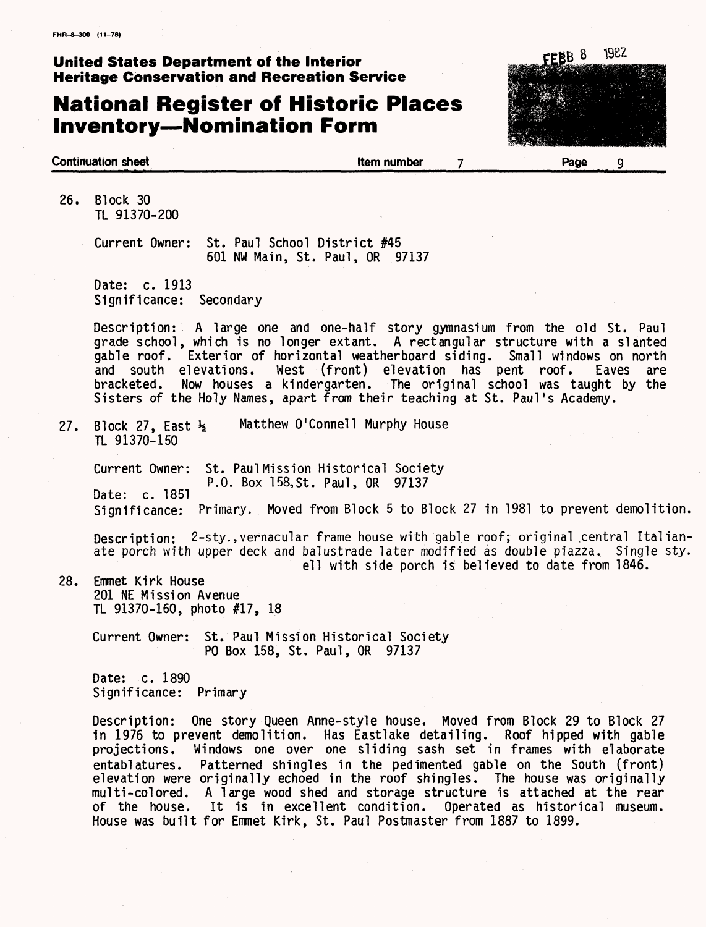## **National Register of Historic Places Inventory—Nomination Form**



26, Block 30 TL 91370-200

> Current Owner: St. Paul School District #45 601 NW Main, St. Paul, OR 97137

Date: c. 1913 Significance: Secondary

Description: A large one and one-half story gymnasium from the old St. Paul grade school, which is no longer extant. A rectangular structure with a slanted gable roof. Exterior of horizontal weatherboard siding. Small windows on north and south elevations. West (front) elevation has pent roof. Eaves are bracketed. Now houses a kindergarten. The original school was taught by the Sisters of the Holy Names, apart from their teaching at St. Paul's Academy.

Matthew O'Connell Murphy House  $27.$ Block 27, East  $\frac{1}{2}$ TL 91370-150

Current Owner: St. Paul Mission Historical Society P.O. Box 158,St. Paul, OR 97137 Date: c. 1851 Significance: Primary. Moved from Block 5 to Block 27 in 1981 to prevent demolition,

Description: 2-sty., vernacular frame house with gable roof; original central Italianate porch with upper deck and balustrade later modified as double piazza. Single sty. ell with side porch is believed to date from 1846.

28. Emmet Kirk House 201 NE Mission Avenue TL 91370-160, photo #17, 18

> Current Owner: St. Paul Mission Historical Society PO Box 158, St. Paul, OR 97137

Date: c. 1890 Significance: Primary

Description: One story Queen Anne-style house. Moved from Block 29 to Block 27 in 1976 to prevent demolition. Has Eastlake detailing. Roof hipped with gable projections. Windows one over one sliding sash set in frames with elaborate entablatures. Patterned shingles in the pedimented gable on the South (front) elevation were originally echoed in the roof shingles. The house was originally multi-colored. A large wood shed and storage structure is attached at the rear of the house. It is in excellent condition. Operated as historical museum. House was built for Enrmet Kirk, St. Paul Postmaster from 1887 to 1899.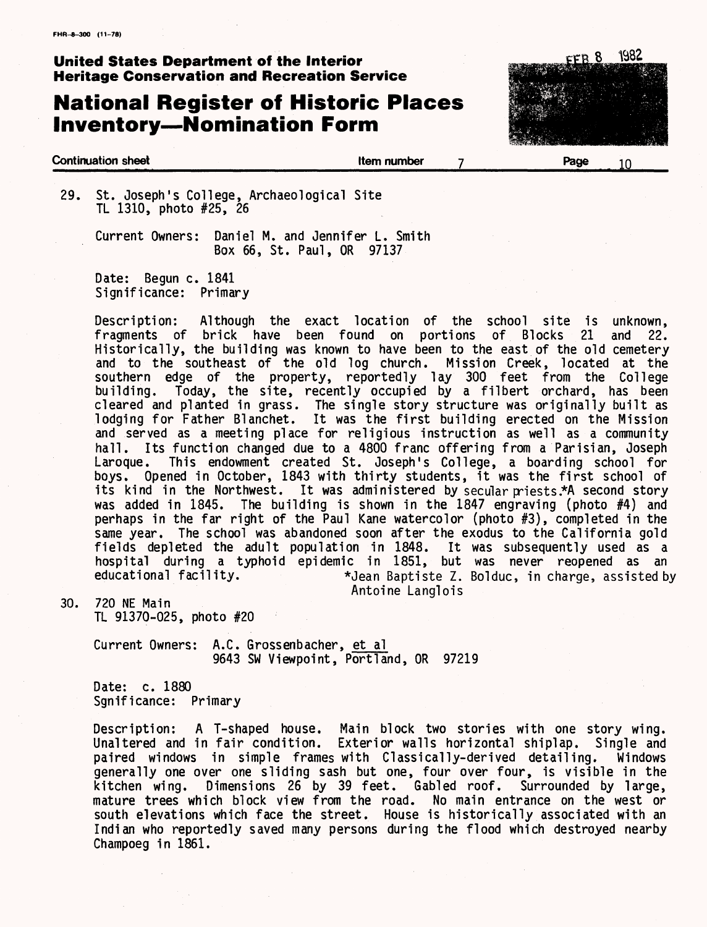## **National Register of Historic Places Inventory—Nomination Form**



#### **Continuation sheet Item number Page** 10

29. St. Joseph's College, Archaeological Site TL 1310, photo #25, 26

> Current Owners: Daniel M. and Jennifer L. Smith Box 66, St. Paul, OR 97137

Date: Begun c. 1841 Significance: Primary

Description: Although the exact location of the school site is unknown,<br>fragments of brick have been found on portions of Blocks 21 and 22. fragments of brick have been found on portions of Blocks 21 and 22. Historically, the building was known to have been to the east of the old cemetery and to the southeast of the old log church. Mission Creek, located at the southern edge of the property, reportedly lay 300 feet from the College building. Today, the site, recently occupied by a filbert orchard, has been cleared and planted in grass. The single story structure was originally built as lodging for Father Blanchet. It was the first building erected on the Mission and served as a meeting place for religious instruction as well as a community hall. Its function changed due to a 4800 franc offering from a Parisian, Joseph Laroque. This endowment created St. Joseph's College, a boarding school for Laroque. This endowment created St. Joseph's College, a boarding school for<br>boys. Opened in October. 1843 with thirty students, it was the first school of Opened in October, 1843 with thirty students, it was the first school of its kind in the Northwest. It was administered by secular priests.\*A second story was added in 1845. The building is shown in the 1847 engraving (photo #4) and perhaps in the far right of the Paul Kane watercolor (photo #3), completed in the same year. The school was abandoned soon after the exodus to the California gold fields depleted the adult population in 1848. It was subsequently used as a hospital during a typhoid epidemic in 1851, but was never reopened as an educational facility.<br>
\*Jean Baptiste Z. Bolduc, in charge, assisted b \*Jean Baptiste Z. Bolduc, in charge, assisted by Antoine Langlois

30. 720 NE Main TL 91370-025, photo #20

> Current Owners: A.C. Grossenbacher, et al 9643 SW Viewpoint, Portland, OR 97219

Date: c. 1880 Sgnificance: Primary

Description: A T-shaped house. Main block two stories with one story wing.<br>Unaltered and in fair condition. Exterior walls horizontal shiplap. Single and Unaltered and in fair condition. Exterior walls horizontal shiplap. Single and paired windows in simple frames with Classically-derived detailing. Windows paired windows in simple frames with Classically-derived detailing. generally one over one sliding sash but one, four over four, is visible in the kitchen wing. Dimensions 26 by 39 feet. Gabled roof. Surrounded by large, mature trees which block view from the road. No main entrance on the west or south elevations which face the street. House is historically associated with an Indian who reportedly saved many persons during the flood which destroyed nearby Champoeg in 1861.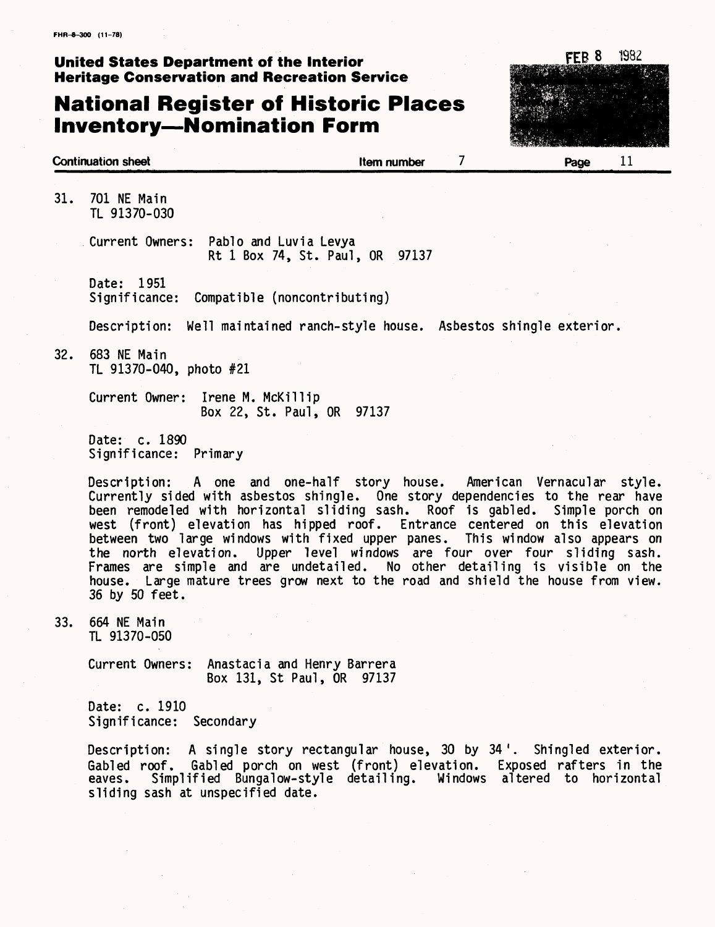## **National Register of Historic Places Inventory—Nomination Form**



**Continuation sheet Item number Page** 11

31. 701 NE Main TL 91370-030

> Current Owners: Pablo and Luvia Levya Rt 1 Box 74, St. Paul, OR 97137

Date: 1951 Significance: Compatible (noncontributing)

Description: Well maintained ranch-style house. Asbestos shingle exterior.

32. 683 NE Main TL 91370-040, photo #21

> Current Owner: Irene M. McKillip Box 22, St. Paul, OR 97137

Date: c. 1890 Significance: Primary

Description: A one and one-half story house. American Vernacular style. Currently sided with asbestos shingle. One story dependencies to the rear have been remodeled with horizontal sliding sash. Roof is gabled. Simple porch on west (front) elevation has hipped roof. Entrance centered on this elevation between two large windows with fixed upper panes. This window also appears on the north elevation. Upper level windows are four over four sliding sash. Frames are simple and are undetailed. No other detailing is visible on the house. Large mature trees grow next to the road and shield the house from view. 36 by 50 feet.

33. 664 NE Main TL 91370-050

> Current Owners: Anastacia and Henry Barrera Box 131, St Paul, OR 97137

Date: c. 1910 Significance: Secondary

Description: A single story rectangular house, 30 by 34'. Shingled exterior. Gabled roof. Gabled porch on west (front) elevation. Exposed rafters in the eaves. Simplified Bungalow-style detailing. Windows altered to horizontal sliding sash at unspecified date.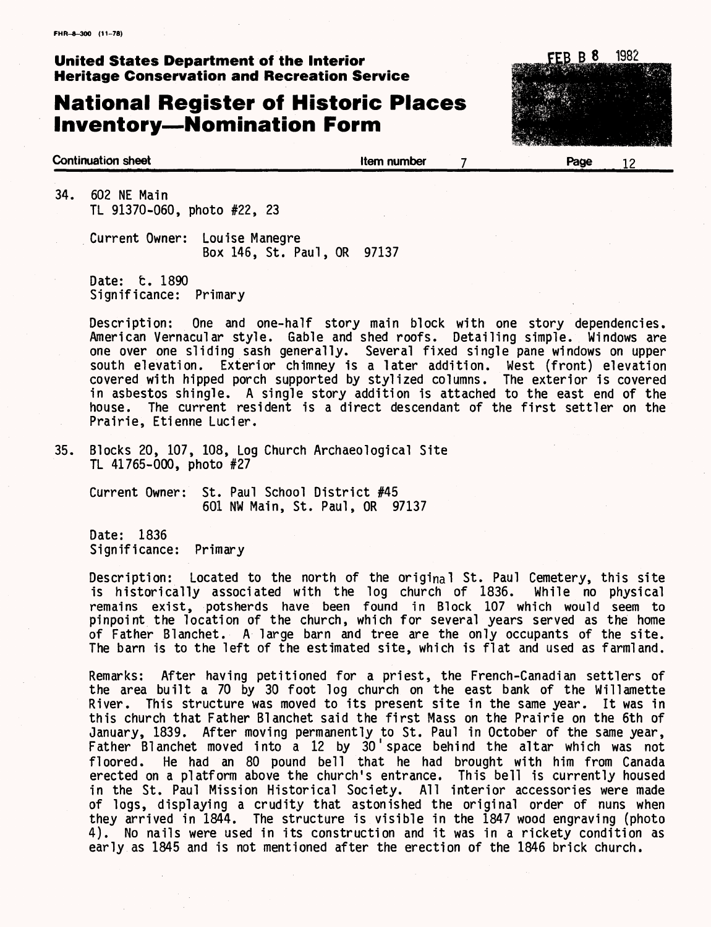## **National Register of Historic Places Inventory—Nomination Form**



**Continuation sheet Continuation sheet Continuation sheet 12** 

34. 602 NE Main TL 91370-060, photo #22, 23

> Current Owner: Louise Manegre Box 146, St. Paul, OR 97137

Date: t. 1890 Significance: Primary

Description: One and one-half story main block with one story dependencies. American Vernacular style. Gable and shed roofs. Detailing simple. Windows are one over one sliding sash generally. Several fixed single pane windows on upper south elevation. Exterior chimney is a later addition. West (front) elevation covered with hipped porch supported by stylized columns. The exterior is covered in asbestos shingle. A single story addition is attached to the east end of the house. The current resident is a direct descendant of the first settler on the Prairie, Etienne Lucier.

35. Blocks 20, 107, 108, Log Church Archaeological Site TL 41765-000, photo #27

Current Owner: St. Paul School District #45 601 NW Main, St. Paul, OR 97137

Date: 1836 Significance: Primary

Description: Located to the north of the original St. Paul Cemetery, this site is historically associated with the log church of 1836. While no physical remains exist, potsherds have been found in Block 107 which would seem to pinpoint the location of the church, which for several years served as the home of Father Blanchet. A large barn and tree are the only occupants of the site. The barn is to the left of the estimated site, which is flat and used as farmland.

Remarks: After having petitioned for a priest, the French-Canadian settlers of the area built a 70 by 30 foot log church on the east bank of the Willamette River. This structure was moved to its present site in the same year. It was in this church that Father Blanchet said the first Mass on the Prairie on the 6th of January, 1839. After moving permanently to St. Paul in October of the same year, Father Blanchet moved into a 12 by 30 space behind the altar which was not floored. He had an 80 pound bell that he had brought with him from Canada erected on a platform above the church's entrance. This bell is currently housed in the St. Paul Mission Historical Society. All interior accessories were made of logs, displaying a crudity that astonished the original order of nuns when they arrived in 1844. The structure is visible in the 1847 wood engraving (photo 4). No nails were used in its construction and it was in a rickety condition as early as 1845 and is not mentioned after the erection of the 1846 brick church.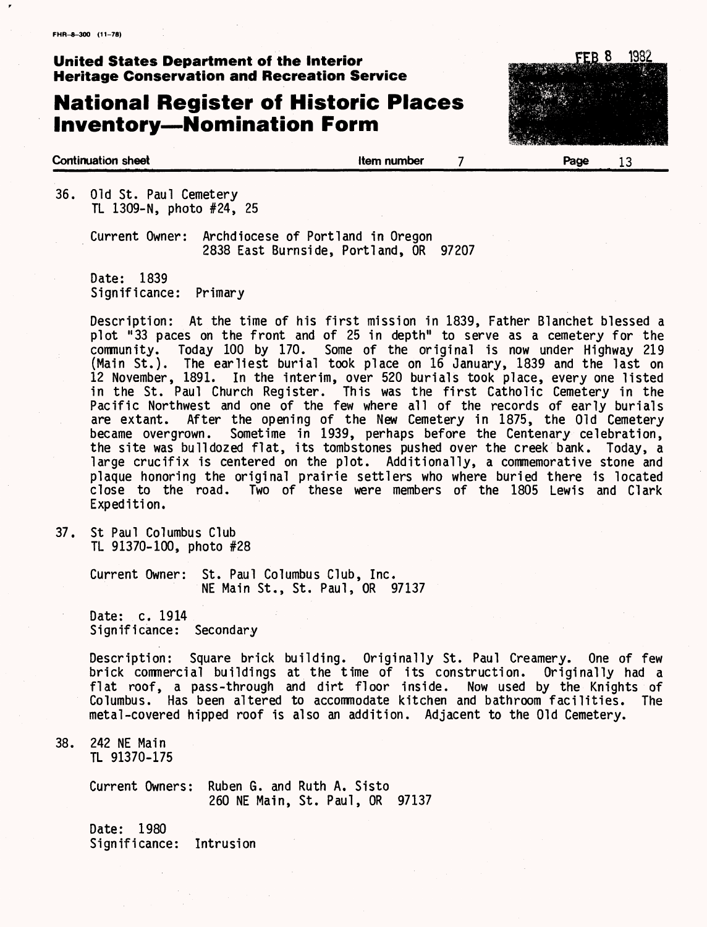## **National Register of Historic Places Inventory—Nomination Form**



#### **Continuation sheet Item number Page** 13

36. Old St. Paul Cemetery TL 1309-N, photo #24, 25

> Current Owner: Archdiocese of Portland in Oregon 2838 East Burnside, Portland, OR 97207

Date: 1839 Significance: Primary

Description: At the time of his first mission in 1839, Father Blanchet blessed a plot "33 paces on the front and of 25 in depth" to serve as a cemetery for the Today 100 by 170. Some of the original is now under Highway 219 (Main St.). The earliest burial took place on 16 January, 1839 and the last on 12 November, 1891. In the interim, over 520 burials took place, every one listed in the St. Paul Church Register. This was the first Catholic Cemetery in the Pacific Northwest and one of the few where all of the records of early burials are extant. After the opening of the New Cemetery in 1875, the Old Cemetery became overgrown. Sometime in 1939, perhaps before the Centenary celebration, the site was bulldozed flat, its tombstones pushed over the creek bank. Today, a large crucifix is centered on the plot. Additionally, a commemorative stone and plaque honoring the original prairie settlers who where buried there is located close to the road. Two of these were members of the 1805 Lewis and Clark Expedition.

37. St Paul Columbus Club TL 91370-100, photo #28

> Current Owner: St. Paul Columbus Club, Inc. NE Main St., St. Paul, OR 97137

Date: c. 1914 Significance: Secondary

Description: Square brick building. Originally St. Paul Creamery. One of few brick commercial buildings at the time of its construction. Originally had a flat roof, a pass-through and dirt floor inside. Now used by the Knights of Columbus. Has been altered to accommodate kitchen and bathroom facilities. The metal-covered hipped roof is also an addition. Adjacent to the Old Cemetery.

38. 242 NE Main TL 91370-175

> Current Owners: Ruben G. and Ruth A. Sisto 260 NE Main, St. Paul, OR 97137

Date: 1980 Significance: Intrusion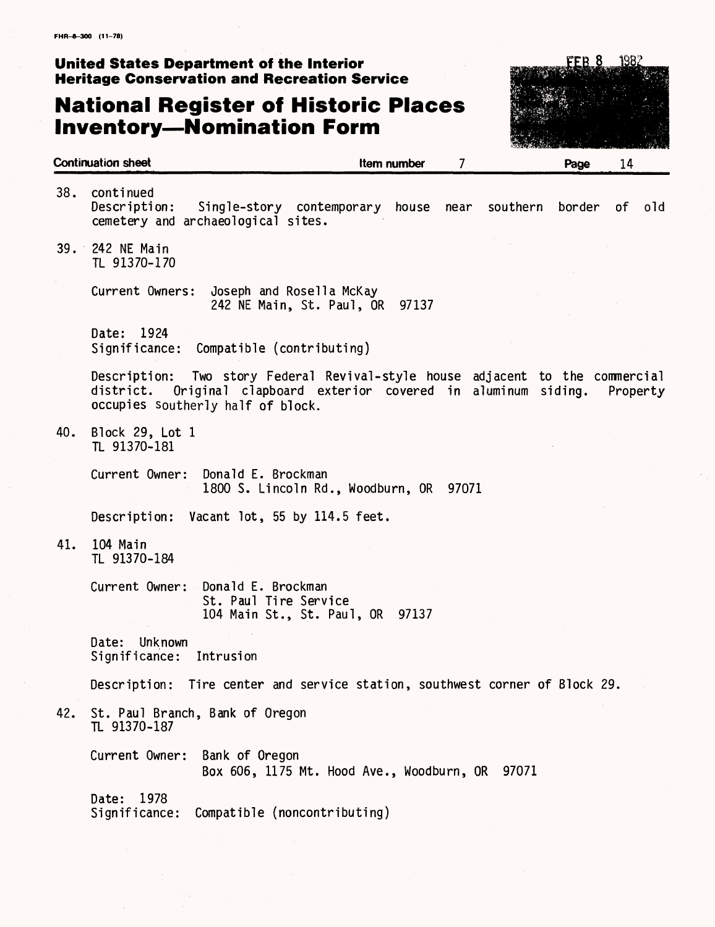## **National Register of Historic Places Inventory—Nomination Form**



|     | <b>Continuation sheet</b>                                                                                                                                                               | <b>Item number</b> | 7 | Page | 14       |     |
|-----|-----------------------------------------------------------------------------------------------------------------------------------------------------------------------------------------|--------------------|---|------|----------|-----|
| 38. | continued<br>Description:<br>Single-story contemporary house near southern border<br>cemetery and archaeological sites.                                                                 |                    |   |      | of l     | old |
|     | 39. 242 NE Main<br>TL 91370-170                                                                                                                                                         |                    |   |      |          |     |
|     | Current Owners: Joseph and Rosella McKay<br>242 NE Main, St. Paul, OR                                                                                                                   | 97137              |   |      |          |     |
|     | Date: 1924<br>Significance:<br>Compatible (contributing)                                                                                                                                |                    |   |      |          |     |
|     | Description: Two story Federal Revival-style house adjacent to the commercial<br>district. Original clapboard exterior covered in aluminum siding.<br>occupies southerly half of block. |                    |   |      | Property |     |
| 40. | Block 29, Lot 1<br>TL 91370-181                                                                                                                                                         |                    |   |      |          |     |
|     | Current Owner:<br>Donald E. Brockman<br>1800 S. Lincoln Rd., Woodburn, OR 97071                                                                                                         |                    |   |      |          |     |
|     | Vacant lot, 55 by 114.5 feet.<br>Description:                                                                                                                                           |                    |   |      |          |     |
| 41. | 104 Main<br>TL 91370-184                                                                                                                                                                |                    |   |      |          |     |
|     | Current Owner: Donald E. Brockman<br>St. Paul Tire Service<br>104 Main St., St. Paul, OR 97137                                                                                          |                    |   |      |          |     |
|     | Unknown<br>Date:<br>Significance:<br>Intrusion                                                                                                                                          |                    |   |      |          |     |
|     | Description: Tire center and service station, southwest corner of Block 29.                                                                                                             |                    |   |      |          |     |
| 42. | St. Paul Branch, Bank of Oregon<br>TL 91370-187                                                                                                                                         |                    |   |      |          |     |
|     | Current Owner:<br>Bank of Oregon<br>Box 606, 1175 Mt. Hood Ave., Woodburn, OR 97071                                                                                                     |                    |   |      |          |     |
|     | 1978<br>Date:<br>Compatible (noncontributing)<br>Significance:                                                                                                                          |                    |   |      |          |     |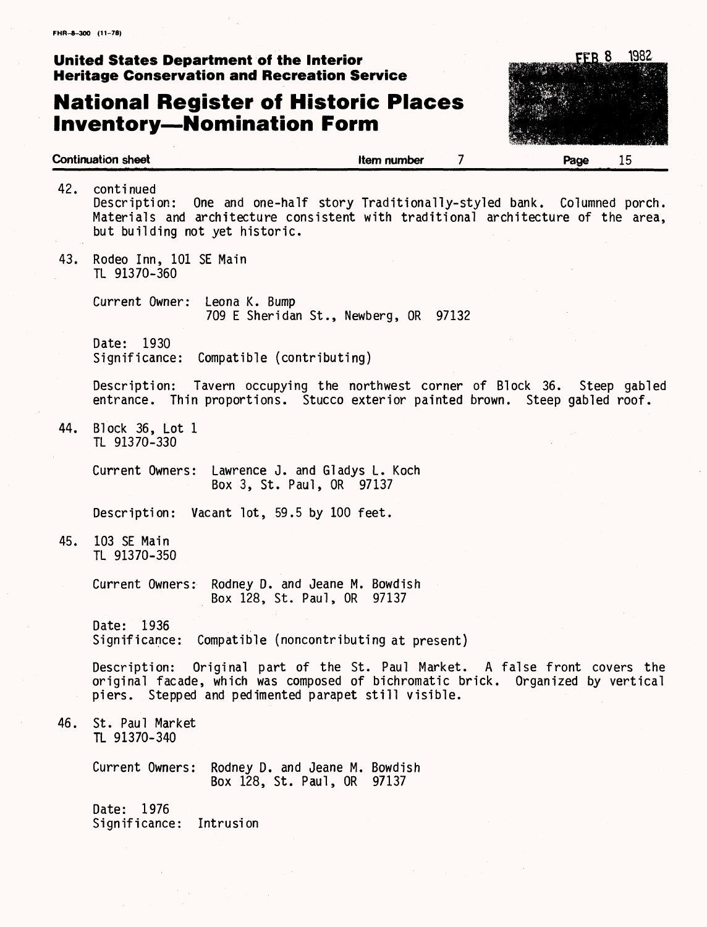#### **United States Department of the Interior FEE 8 1982 FEE 8 1982 Heritage Conservation and Recreation Service**

## **National Register of Historic Places Inventory—Nomination Form**



|     | Continuation sheet<br>Item number<br>Page<br>15                                                                                                                                                                           |
|-----|---------------------------------------------------------------------------------------------------------------------------------------------------------------------------------------------------------------------------|
| 42. | continued<br>Description: One and one-half story Traditionally-styled bank. Columned porch.<br>Materials and architecture consistent with traditional architecture of the area,<br>but building not yet historic.         |
| 43. | Rodeo Inn, 101 SE Main<br>TL 91370-360                                                                                                                                                                                    |
|     | Current Owner:<br>Leona K. Bump<br>709 E Sheridan St., Newberg, OR 97132                                                                                                                                                  |
|     | 1930<br>Date:<br>Significance: Compatible (contributing)                                                                                                                                                                  |
|     | Description: Tavern occupying the northwest corner of Block 36. Steep gabled<br>entrance. Thin proportions. Stucco exterior painted brown. Steep gabled roof.                                                             |
| 44. | Block $36$ , Lot 1<br>TL 91370-330                                                                                                                                                                                        |
|     | Current Owners: Lawrence J. and Gladys L. Koch<br>Box 3, St. Paul, OR 97137                                                                                                                                               |
|     | Description: Vacant lot, 59.5 by 100 feet.                                                                                                                                                                                |
| 45. | 103 SE Main<br>TL 91370-350                                                                                                                                                                                               |
|     | Current Owners: Rodney D. and Jeane M. Bowdish<br>Box 128, St. Paul, OR 97137                                                                                                                                             |
|     | Date: 1936<br>Compatible (noncontributing at present)<br>Significance:                                                                                                                                                    |
|     | Original part of the St. Paul Market. A false front covers the<br>Description:<br>original facade, which was composed of bichromatic brick. Organized by vertical<br>piers. Stepped and pedimented parapet still visible. |
| 46. | St. Paul Market<br>TL 91370-340                                                                                                                                                                                           |
|     | Current Owners:<br>Rodney D. and Jeane M. Bowdish<br>Box 128, St. Paul, OR 97137                                                                                                                                          |
|     | 1976<br>Date:<br>Significance:<br>Intrusion                                                                                                                                                                               |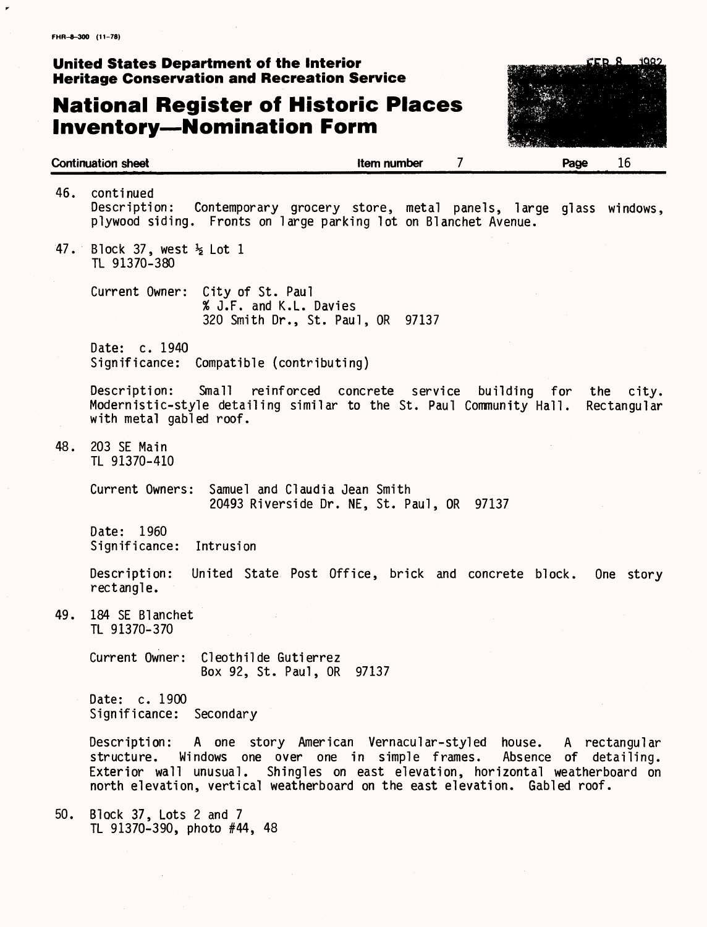## **National Register of Historic Places Inventory—Nomination Form**

1022 CER R

| <b>Continuation sheet</b> |                                                       |                                                                                                                                                                                                  | Item number | 7                                                      | Page | 16                       |
|---------------------------|-------------------------------------------------------|--------------------------------------------------------------------------------------------------------------------------------------------------------------------------------------------------|-------------|--------------------------------------------------------|------|--------------------------|
| 46.                       | continued<br>Description:                             | Contemporary grocery store, metal panels, large glass windows,<br>plywood siding. Fronts on large parking lot on Blanchet Avenue.                                                                |             |                                                        |      |                          |
| 47.                       | Block 37, west $\frac{1}{2}$ Lot 1<br>TL 91370-380    |                                                                                                                                                                                                  |             |                                                        |      |                          |
|                           |                                                       | Current Owner: City of St. Paul<br>% J.F. and K.L. Davies<br>320 Smith Dr., St. Paul, OR 97137                                                                                                   |             |                                                        |      |                          |
|                           | Date: c. 1940                                         | Significance: Compatible (contributing)                                                                                                                                                          |             |                                                        |      |                          |
|                           | Description:<br>with metal gabled roof.               | Small<br>reinforced concrete service<br>Modernistic-style detailing similar to the St. Paul Community Hall.                                                                                      |             | building for                                           |      | the city.<br>Rectangular |
| 48.                       | 203 SE Main<br>TL 91370-410                           |                                                                                                                                                                                                  |             |                                                        |      |                          |
|                           |                                                       | Current Owners: Samuel and Claudia Jean Smith<br>20493 Riverside Dr. NE, St. Paul, OR 97137                                                                                                      |             |                                                        |      |                          |
|                           | Date: 1960<br>Significance:                           | Intrusion                                                                                                                                                                                        |             |                                                        |      |                          |
|                           | Description:<br>rectangle.                            | United State Post Office, brick and concrete block.                                                                                                                                              |             |                                                        |      | One story                |
| 49.                       | 184 SE Blanchet<br>TL 91370-370                       |                                                                                                                                                                                                  |             |                                                        |      |                          |
|                           | Current Owner:                                        | Cleothilde Gutierrez<br>Box 92, St. Paul, OR                                                                                                                                                     | 97137       |                                                        |      |                          |
|                           | Date: c. 1900<br>Significance: Secondary              |                                                                                                                                                                                                  |             |                                                        |      |                          |
|                           | structure.<br>Exterior wall unusual.                  | Description: A one story American Vernacular-styled house. A rectangular<br>Windows one over one in simple frames.<br>north elevation, vertical weatherboard on the east elevation. Gabled roof. |             | Shingles on east elevation, horizontal weatherboard on |      | Absence of detailing.    |
| 50.                       | Block 37, Lots 2 and 7<br>TL 91370-390, photo #44, 48 |                                                                                                                                                                                                  |             |                                                        |      |                          |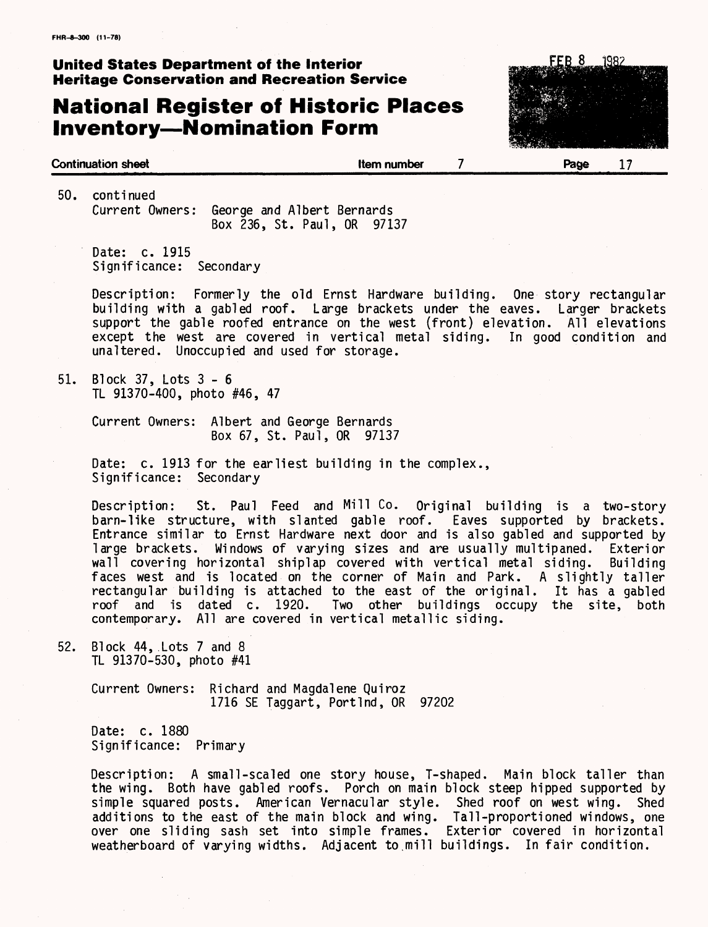## **National Register of Historic Places Inventory—Nomination Form**



50. continued Current Owners: George and Albert Bernards Box 236, St. Paul, OR 97137

Date: c. 1915 Significance: Secondary

Description: Formerly the old Ernst Hardware building. One story rectangular building with a gabled roof. Large brackets under the eaves. Larger brackets support the gable roofed entrance on the west (front) elevation. All elevations except the west are covered in vertical metal siding. In good condition and unaltered. Unoccupied and used for storage.

51. Block 37, Lots 3-6 TL 91370-400, photo #46, 47

> Current Owners: Albert and George Bernards Box 67, St. Paul, OR 97137

Date: c. 1913 for the earliest building in the complex., Significance: Secondary

Description: St. Paul Feed and Mill Co. Original building is a two-story barn-like structure, with slanted gable roof. Eaves supported by brackets. Entrance similar to Ernst Hardware next door and is also gabled and supported by large brackets. Windows of varying sizes and are usually multipaned. Exterior wall covering horizontal shiplap covered with vertical metal siding. Building faces west and is located on the corner of Main and Park. A slightly taller rectangular building is attached to the east of the original. It has a gabled roof and is dated c. 1920. Two other buildings occupy the site, both contemporary. All are covered in vertical metallic siding.

52. Block 44,.Lots 7 and 8 TL 91370-530, photo #41

> Current Owners: Richard and Magdalene Quiroz 1716 SE Taggart, Portlnd, OR 97202

Date: c. 1880 Significance: Primary

Description: A small-scaled one story house, T-shaped. Main block taller than the wing. Both have gabled roofs. Porch on main block steep hipped supported by simple squared posts. American Vernacular style. Shed roof on west wing. Shed additions to the east of the main block and wing. Tall-proportioned windows, one over one sliding sash set into simple frames. Exterior covered in horizontal weatherboard of varying widths. Adjacent to,mill buildings. In fair condition.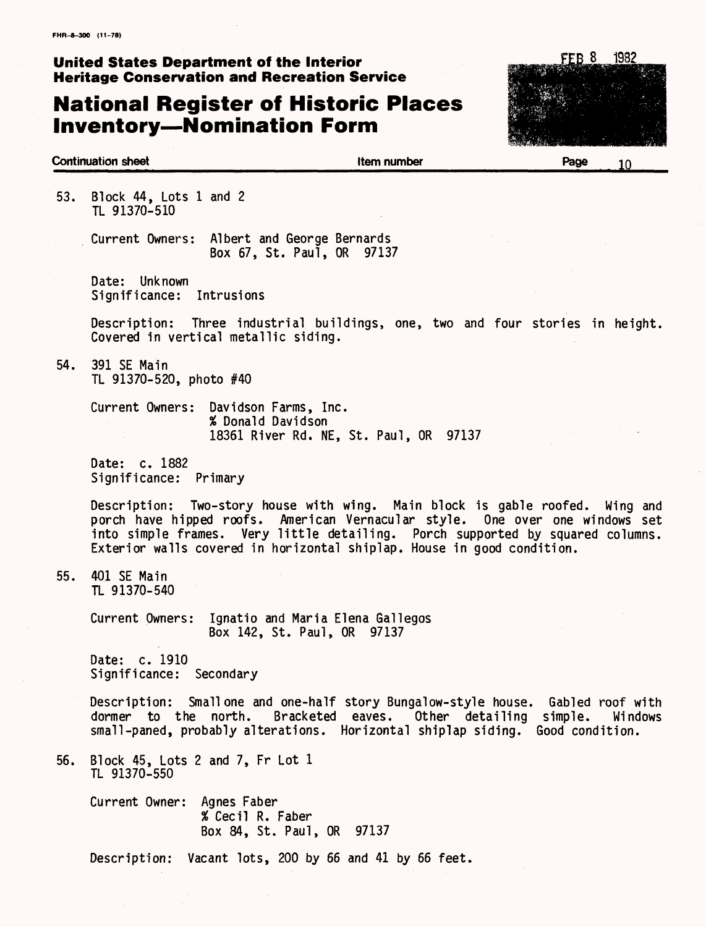## **National Register of Historic Places Inventory—Nomination Form**



#### **Continuation sheet Continuation sheet Continuation sheet Continuation sheet 1 Continuation Page 1 C**

53. Block 44, Lots 1 and 2 TL 91370-510

> Current Owners: Albert and George Bernards Box 67, St. Pau1, OR 97137

Date: Unknown Significance: Intrusions

Description: Three industrial buildings, one, two and four stories in height. Covered in vertical metallic siding.

54. 391 SE Main TL 91370-520, photo #40

> Current Owners: Davidson Farms, Inc. % Donald Davidson 18361 River Rd. NE, St. Paul, OR 97137

Date: c. 1882 Significance: Primary

Description: Two-story house with wing. Main block is gable roofed. Wing and porch have hipped roofs. American Vernacular style. One over one windows set into simple frames. Very little detailing. Porch supported by squared columns. Exterior walls covered in horizontal shiplap. House in good condition.

55. 401 SE Main TL 91370-540

> Current Owners: Ignatio and Maria Elena Gallegos Box 142, St. Paul, OR 97137

Date: c. 1910 Significance: Secondary

Description: Small one and one-half story Bungalow-style house. Gabled roof with dormer to the north. Bracketed eaves. Other detailing simple. Windows small-paned, probably alterations. Horizontal shiplap siding. Good condition.

56. Block 45, Lots 2 and 7, Fr Lot 1 TL 91370-550

> Current Owner: Agnes Faber % Cecil R. Faber Box 84, St. Paul, OR 97137

Description: Vacant lots, 200 by 66 and 41 by 66 feet.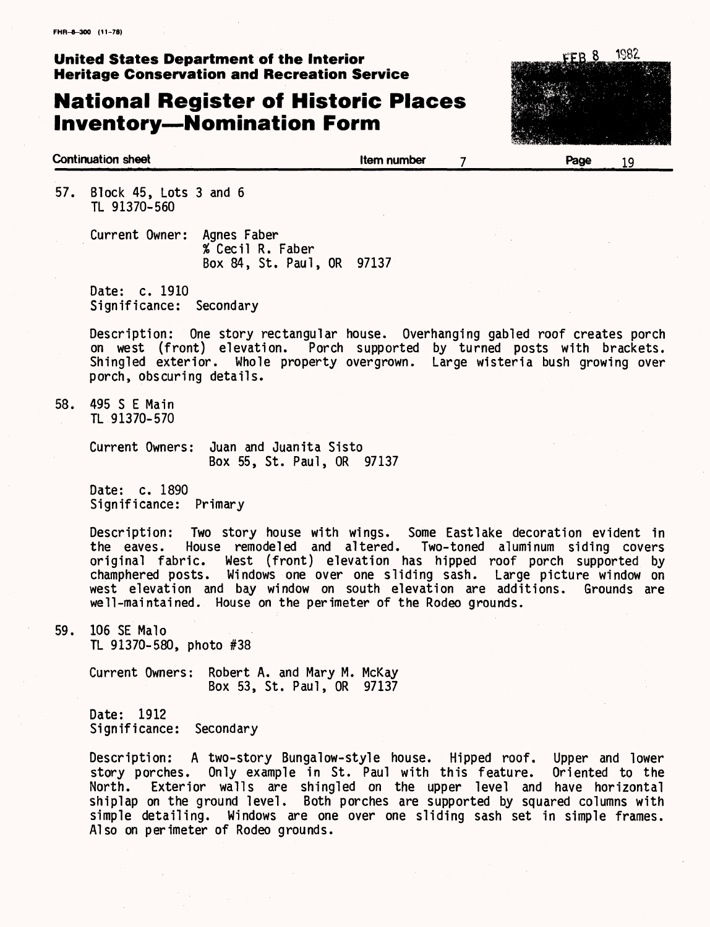## **National Register of Historic Places Inventory—Nomination Form**



**Continuation sheet Item number Page** 19

57. Block 45, Lots 3 and 6 TL 91370-560

> Current Owner: Agnes Faber % Cecil R. Faber Box 84, St. Paul, OR 97137

Date: c. 1910 Significance: Secondary

Description: One story rectangular house. Overhanging gabled roof creates porch on west (front) elevation. Porch supported by turned posts with brackets. Shingled exterior. Whole property overgrown. Large wisteria bush growing over porch, obscuring details.

58. 495 S E Main TL 91370-570

> Current Owners: Juan and Juanita Sisto Box 55, St. Paul, OR 97137

Date: c. 1890 Significance: Primary

Description: Two story house with wings. Some Eastlake decoration evident in the eaves. House remodeled and altered. Two-toned aluminum siding covers the eaves. House remodeled and altered. Two-toned aluminum siding covers original fabric. West (front) elevation has hipped roof porch supported by champhered posts. Windows one over one sliding sash. Large picture window on west elevation and bay window on south elevation are additions. Grounds are well-maintained. House on the perimeter of the Rodeo grounds.

59. 106 SE Malo TL 91370-580, photo #38

> Current Owners: Robert A. and Mary M. McKay Box 53, St. Paul, OR 97137

Date: 1912 Significance: Secondary

Description: A two-story Bungalow-style house. Hipped roof. Upper and lower story porches. Only example in St. Paul with this feature. Oriented to the North. Exterior walls are shingled on the upper level and have horizontal shiplap on the ground level. Both porches are supported by squared columns with simple detailing. Windows are one over one sliding sash set in simple frames. Also on perimeter of Rodeo grounds.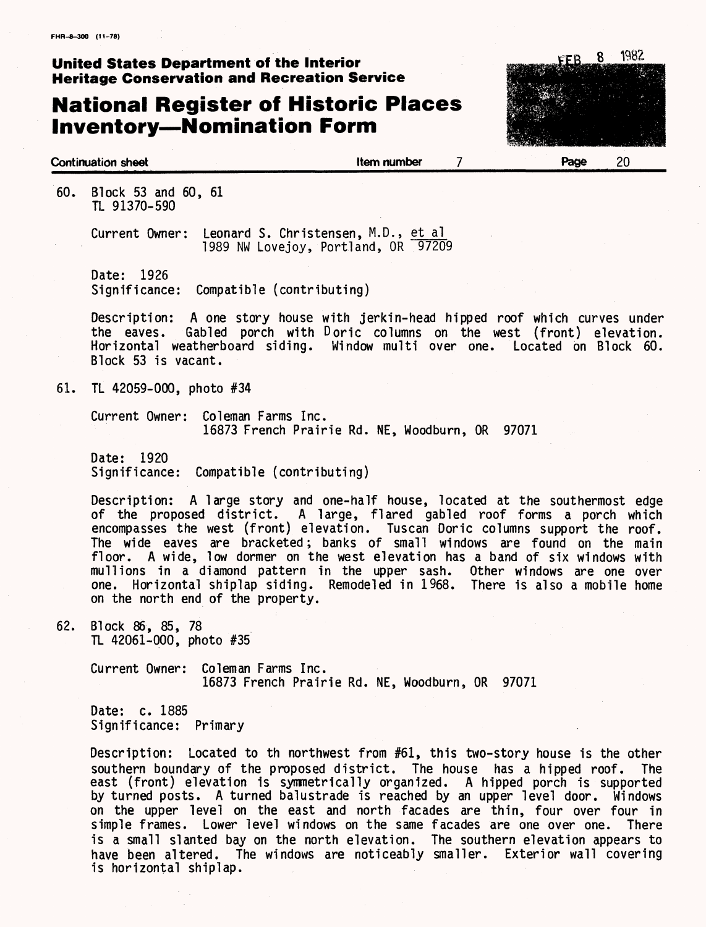## **National Register of Historic Places Inventory—Nomination Form**



#### **Continuation sheet Item number Page** 20

60. Block 53 and 60, 61 TL 91370-590

> Current Owner: Leonard S. Christensen, M.D., et al 1989 NW Lovejoy, Portland, OR 97209

Date: 1926 Significance: Compatible (contributing)

Description: A one story house with jerkin-head hipped roof which curves under<br>the eaves. Gabled porch with Doric columns on the west (front) elevation. Gabled porch with Doric columns on the west (front) elevation. Horizontal weatherboard siding. Window multi over one. Located on Block 60. Block 53 is vacant.

61. TL 42059-000, photo #34

Current Owner: Coleman Farms Inc. 16873 French Prairie Rd. NE, Woodburn, OR 97071

Date: 1920 Significance: Compatible (contributing)

Description: A large story and one-half house, located at the southermost edge of the proposed district. A large, flared gabled roof forms a porch which encompasses the west (front) elevation. Tuscan Doric columns support the roof. The wide eaves are bracketed; banks of small windows are found on the main floor. A wide, low dormer on the west elevation has a band of six windows with mull ions in a diamond pattern in the upper sash. Other windows are one over one. Horizontal shiplap siding. Remodeled in 1968. There is also a mobile home on the north end of the property.

62. Block 86, 85, 78 TL 42061-000, photo #35

> Current Owner: Coleman Farms Inc. 16873 French Prairie Rd. NE, Woodburn, OR 97071

Date: c. 1885 Significance: Primary

Description: Located to th northwest from #61, this two-story house is the other southern boundary of the proposed district. The house has a hipped roof. The east (front) elevation is symmetrically organized. A hipped porch is supported by turned posts. A turned balustrade is reached by an upper level door. Windows on the upper level on the east and north facades are thin, four over four in simple frames. Lower level windows on the same facades are one over one. There is a small slanted bay on the north elevation. The southern elevation appears to have been altered. The windows are noticeably smaller. Exterior wall covering is horizontal shiplap.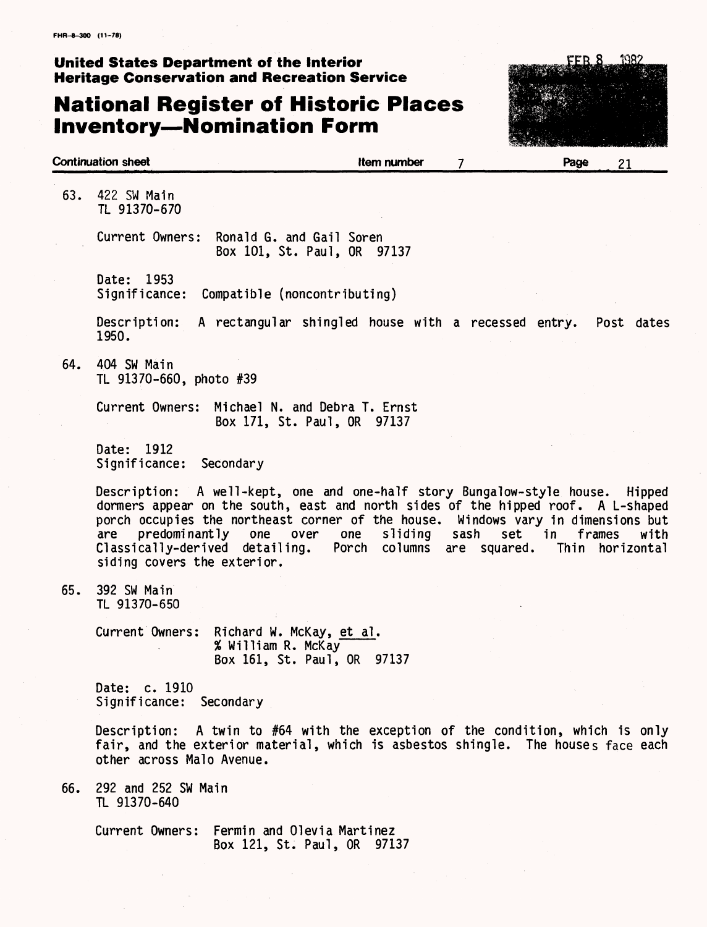## **National Register of Historic Places Inventory—Nomination Form**



| <b>Continuation sheet</b> |                                                  |                                                                                                                                                                                                                                                                                                                                | Item number | 7    | Page             | 21                      |
|---------------------------|--------------------------------------------------|--------------------------------------------------------------------------------------------------------------------------------------------------------------------------------------------------------------------------------------------------------------------------------------------------------------------------------|-------------|------|------------------|-------------------------|
| 63.                       | 422 SW Main<br>TL 91370-670                      |                                                                                                                                                                                                                                                                                                                                |             |      |                  |                         |
|                           | Current Owners:                                  | Ronald G. and Gail Soren<br>Box 101, St. Paul, OR 97137                                                                                                                                                                                                                                                                        |             |      |                  |                         |
|                           | Date: 1953<br>Significance:                      | Compatible (noncontributing)                                                                                                                                                                                                                                                                                                   |             |      |                  |                         |
|                           | Description:<br>1950.                            | A rectangular shingled house with a recessed entry.                                                                                                                                                                                                                                                                            |             |      |                  | Post dates              |
| 64.                       | 404 SW Main<br>TL 91370-660, photo #39           |                                                                                                                                                                                                                                                                                                                                |             |      |                  |                         |
|                           | Current Owners:                                  | Michael N. and Debra T. Ernst<br>Box 171, St. Paul, OR 97137                                                                                                                                                                                                                                                                   |             |      |                  |                         |
|                           | Date: 1912<br>Significance:                      | Secondary                                                                                                                                                                                                                                                                                                                      |             |      |                  |                         |
| are                       | predominantly one<br>siding covers the exterior. | Description: A well-kept, one and one-half story Bungalow-style house. Hipped<br>dormers appear on the south, east and north sides of the hipped roof. A L-shaped<br>porch occupies the northeast corner of the house. Windows vary in dimensions but<br>over one<br>Classically-derived detailing. Porch columns are squared. | sliding     | sash | set in<br>frames | with<br>Thin horizontal |
| 65.                       | 392 SW Main<br>TL 91370-650                      |                                                                                                                                                                                                                                                                                                                                |             |      |                  |                         |
|                           |                                                  | Current Owners: Richard W. McKay, et al.<br>% William R. McKay<br>Box 161, St. Paul, OR 97137                                                                                                                                                                                                                                  |             |      |                  |                         |
|                           | Date: c. 1910<br>Significance: Secondary         |                                                                                                                                                                                                                                                                                                                                |             |      |                  |                         |
|                           | other across Malo Avenue.                        | Description: A twin to #64 with the exception of the condition, which is only<br>fair, and the exterior material, which is asbestos shingle. The houses face each                                                                                                                                                              |             |      |                  |                         |
| 66.                       | 292 and 252 SW Main<br>TL 91370-640              |                                                                                                                                                                                                                                                                                                                                |             |      |                  |                         |
|                           |                                                  | Current Owners: Fermin and Olevia Martinez                                                                                                                                                                                                                                                                                     |             |      |                  |                         |

Box 121, St. Paul, OR 97137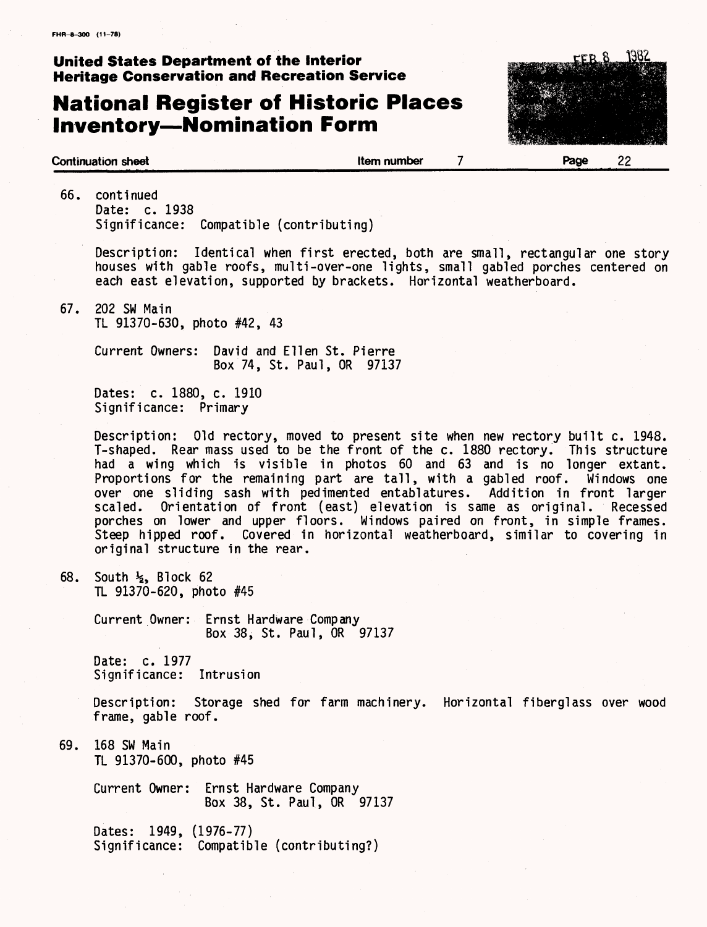## **National Register of Historic Places Inventory—Nomination Form**



#### **Continuation sheet Continuation sheet Continuation sheet 1**

66. continued Date: c. 1938 Significance: Compatible (contributing)

> Description: Identical when first erected, both are small, rectangular one story houses with gable roofs, multi-over-one lights, small gabled porches centered on each east elevation, supported by brackets. Horizontal weatherboard.

67. 202 SW Main TL 91370-630, photo #42, 43

> Current Owners: David and Ellen St. Pierre Box 74, St. Paul, OR 97137

Dates: c. 1880, c. 1910 Significance: Primary

Description: Old rectory, moved to present site when new rectory built c. 1948. T-shaped. Rear mass used to be the front of the c. 1880 rectory. This structure had a wing which is visible in photos 60 and 63 and is no longer extant. Proportions for the remaining part are tall, with a gabled roof. Windows one over one sliding sash with pedimented entablatures. Addition in front larger scaled. Orientation of front (east) elevation is same as original. Recessed porches on lower and upper floors. Windows paired on front, in simple frames. Steep hipped roof. Covered in horizontal weatherboard, similar to covering in original structure in the rear.

68. South  $\frac{1}{2}$ , Block 62 TL 91370-620, photo #45

> Current Owner: Ernst Hardware Company Box 38, St. Paul, OR 97137

Date: c. 1977 Significance: Intrusion

Description: Storage shed for farm machinery. Horizontal fiberglass over wood frame, gable roof.

69. 168 SW Main TL 91370-600, photo #45

> Current Owner: Ernst Hardware Company Box 38, St. Paul, OR 97137

Dates: 1949, (1976-77) Significance: Compatible (contributing?)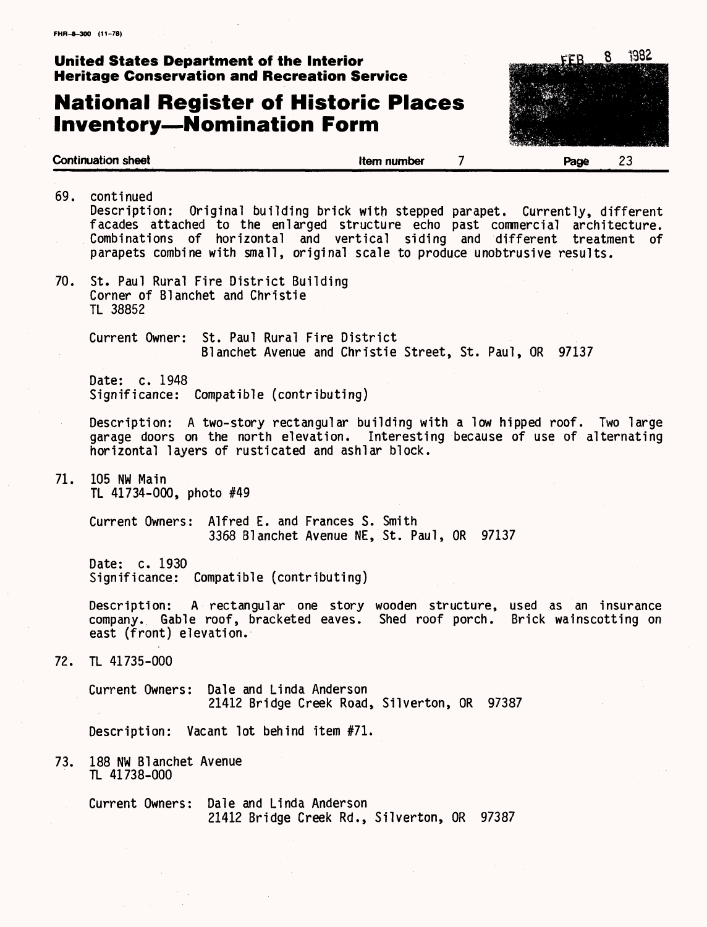## **National Register of Historic Places Inventory—Nomination Form**



69. continued Description: Original building brick with stepped parapet. Currently, different facades attached to the enlarged structure echo past commercial architecture. Combinations of horizontal and vertical siding and different treatment of parapets combine with small, original scale to produce unobtrusive results. 70. St. Paul Rural Fire District Building Corner of Blanchet and Christie TL 38852 Current Owner: St. Paul Rural Fire District Blanchet Avenue and Christie Street, St. Paul, OR 97137 Date: c. 1948 Significance: Compatible (contributing) Description: A two-story rectangular building with a low hipped roof. Two large garage doors on the north elevation. Interesting because of use of alternating horizontal layers of rusticated and ashlar block. 71. 105 NW Main TL 41734-000, photo #49 Current Owners: Alfred E. and Frances S. Smith 3368 Blanchet Avenue NE, St. Paul, OR 97137 Date: c. 1930 Significance: Compatible (contributing) Description: A rectangular one story wooden structure, used as an insurance company. Gable roof, bracketed eaves. Shed roof porch. Brick wainscotting on east (front) elevation. 72. TL 41735-000 Current Owners: Dale and Linda Anderson 21412 Bridge Creek Road, Silverton, OR 97387 Description: Vacant lot behind item #71. 73. 188 NW Blanchet Avenue TL 41738-000 Current Owners: Dale and Linda Anderson 21412 Bridge Creek Rd., Silverton, OR 97387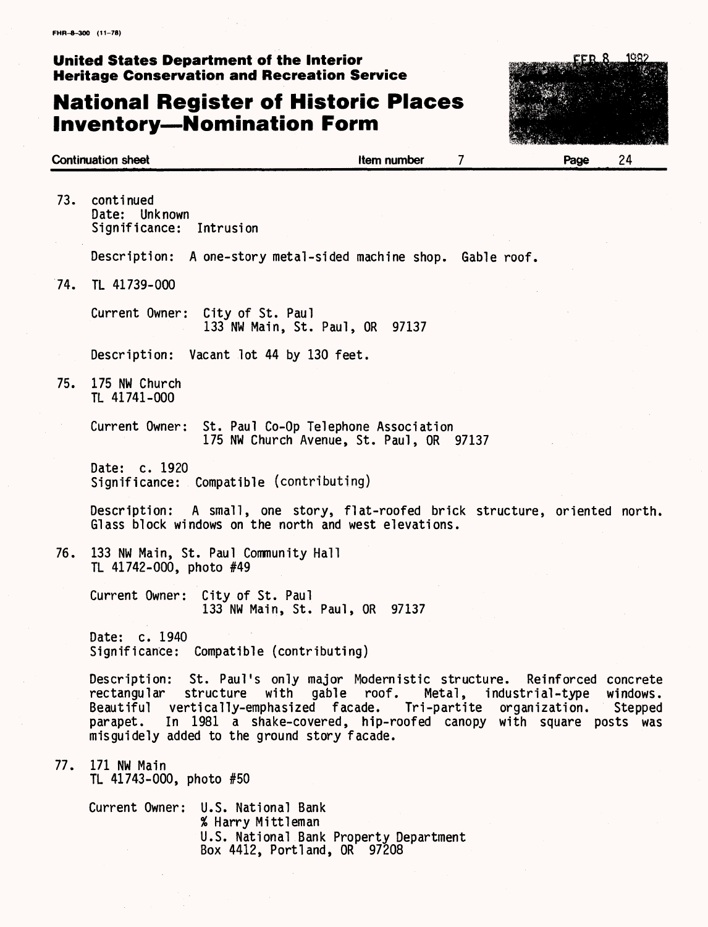## **National Register of Historic Places Inventory—Nomination Form**



|     | <b>Continuation sheet</b><br>Item number                                                                                                                                                                                                                                                                                           |        | Page            | 24                  |
|-----|------------------------------------------------------------------------------------------------------------------------------------------------------------------------------------------------------------------------------------------------------------------------------------------------------------------------------------|--------|-----------------|---------------------|
| 73. | continued<br>Date: Unknown<br>Significance:<br>Intrusion                                                                                                                                                                                                                                                                           |        |                 |                     |
|     | Description: A one-story metal-sided machine shop. Gable roof.                                                                                                                                                                                                                                                                     |        |                 |                     |
| 74. | TL 41739-000                                                                                                                                                                                                                                                                                                                       |        |                 |                     |
|     | Current Owner:<br>City of St. Paul<br>133 NW Main, St. Paul, OR 97137                                                                                                                                                                                                                                                              |        |                 |                     |
|     | Description: Vacant lot 44 by 130 feet.                                                                                                                                                                                                                                                                                            |        |                 |                     |
| 75. | 175 NW Church<br>TL 41741-000                                                                                                                                                                                                                                                                                                      |        |                 |                     |
|     | Current Owner: St. Paul Co-Op Telephone Association<br>175 NW Church Avenue, St. Paul, OR 97137                                                                                                                                                                                                                                    |        |                 |                     |
|     | Date: c. 1920<br>Significance: Compatible (contributing)                                                                                                                                                                                                                                                                           |        |                 |                     |
|     | Description: A small, one story, flat-roofed brick structure, oriented north.<br>Glass block windows on the north and west elevations.                                                                                                                                                                                             |        |                 |                     |
| 76. | 133 NW Main, St. Paul Community Hall<br>TL 41742-000, photo #49                                                                                                                                                                                                                                                                    |        |                 |                     |
|     | Current Owner:<br>City of St. Paul<br>133 NW Main, St. Paul, OR 97137                                                                                                                                                                                                                                                              |        |                 |                     |
|     | Date: c. 1940<br>Significance: Compatible (contributing)                                                                                                                                                                                                                                                                           |        |                 |                     |
|     | Description: St. Paul's only major Modernistic structure. Reinforced concrete<br>with gable roof.<br>rectangular<br>structure<br>Beautiful vertically-emphasized facade. Tri-partite organization.<br>In 1981 a shake-covered, hip-roofed canopy with square posts was<br>parapet.<br>misguidely added to the ground story facade. | Metal, | industrial-type | windows.<br>Stepped |
|     | 77. 171 NW Main<br>TL 41743-000, photo #50                                                                                                                                                                                                                                                                                         |        |                 |                     |
|     | Current Owner: U.S. National Bank<br>% Harry Mittleman<br>U.S. National Bank Property Department<br>Box 4412, Portland, OR 97208                                                                                                                                                                                                   |        |                 |                     |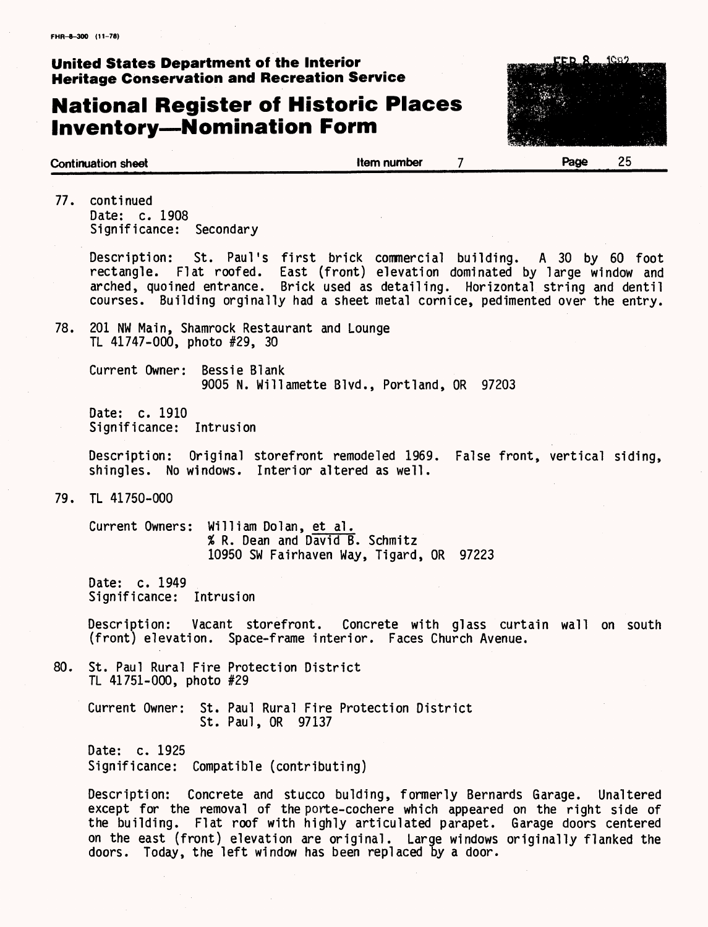## **National Register of Historic Places Inventory—Nomination Form**



77. continued Date: c. 1908 Significance: Secondary

> Description: St. Paul's first brick commercial building. A 30 by 60 foot rectangle. Flat roofed. East (front) elevation dominated by large window and arched, quoined entrance. Brick used as detailing. Horizontal string and dentil courses. Building orginally had a sheet metal cornice, pedimented over the entry.

78. 201 NW Main, Shamrock Restaurant and Lounge TL 41747-000, photo #29, 30

> Current Owner: Bessie Blank 9005 N. Willamette Blvd., Portland, OR 97203

Date: c. 1910 Significance: Intrusion

Description: Original storefront remodeled 1969. False front, vertical siding, shingles. No windows. Interior altered as well.

79. TL 41750-000

Current Owners: William Dolan, et al. % R. Dean and David B. Schmitz 10950 SW Fairhaven Way, Tigard, OR 97223

Date: c. 1949 Significance: Intrusion

Description: Vacant storefront. Concrete with glass curtain wall on south (front) elevation. Space-frame interior. Faces Church Avenue.

80. St. Paul Rural Fire Protection District TL 41751-000, photo #29

> Current Owner: St. Paul Rural Fire Protection District St. Paul, OR 97137

Date: c. 1925 Significance: Compatible (contributing)

Description: Concrete and stucco bulding, formerly Bernards Garage. Unaltered except for the removal of the porte-cochere which appeared on the right side of the building. Flat roof with highly articulated parapet. Garage doors centered on the east (front) elevation are original. Large windows originally flanked the doors. Today, the left window has been replaced by a door.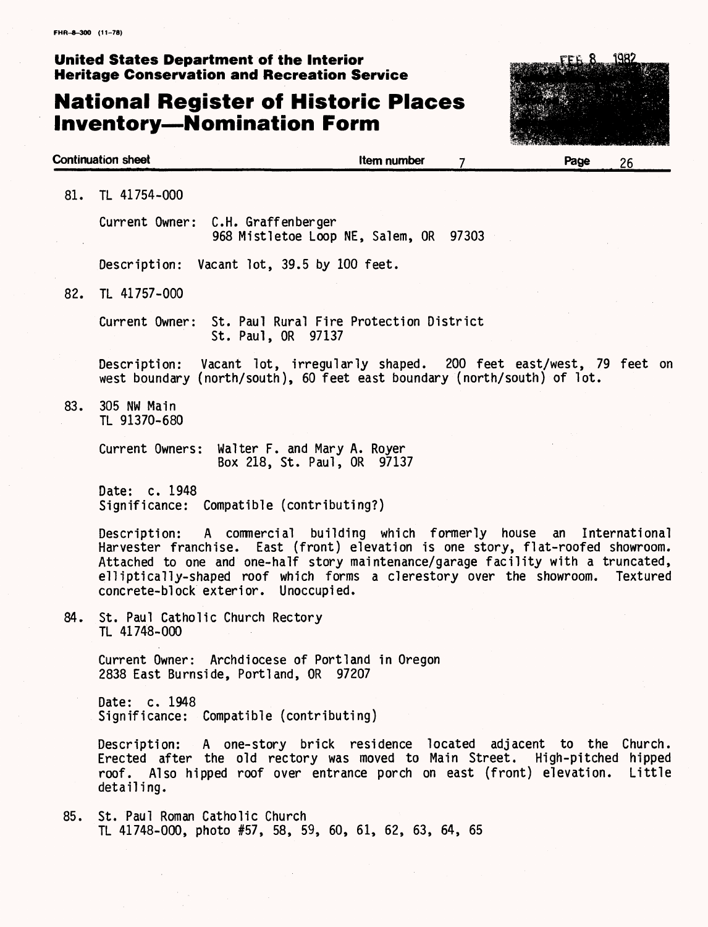## **National Register of Historic Places Inventory—Nomination Form**



**Continuation sheet Item number Page** 26 81. TL 41754-000 Current Owner: C.H. Graffenberger 968 Mistletoe Loop NE, Salem, OR 97303 Description: Vacant lot, 39.5 by 100 feet. 82. TL 41757-000 Current Owner: St. Paul Rural Fire Protection District St. Paul, OR 97137 Description: Vacant lot, irregularly shaped. 200 feet east/west, 79 feet on west boundary (north/south), 60 feet east boundary (north/south) of lot. 83. 305 NW Main TL 91370-680 Current Owners: Walter F. and Mary A. Royer Box 218, St. Paul, OR 97137 Date: c. 1948 Significance: Compatible (contributing?) Description: A commercial building which formerly house an International Harvester franchise. East (front) elevation is one story, flat-roofed showroom. Attached to one and one-half story maintenance/garage facility with a truncated,<br>elliptically-shaped roof which forms a clerestory over the showroom. Textured elliptically-shaped roof which forms a clerestory over the showroom. concrete-block exterior. Unoccupied. 84. St. Paul Catholic Church Rectory TL 41748-000 Current Owner: Archdiocese of Portland in Oregon 2838 East Burnside, Portland, OR 97207 Date: c. 1948 Significance: Compatible (contributing) Description: A one-story brick residence located adjacent to the Church. Erected after the old rectory was moved to Main Street. High-pitched hipped roof. Also hipped roof over entrance porch on east (front) elevation. Little detailing. 85. St. Paul Roman Catholic Church TL 41748-000, photo #57, 58, 59, 60, 61, 62, 63, 64, 65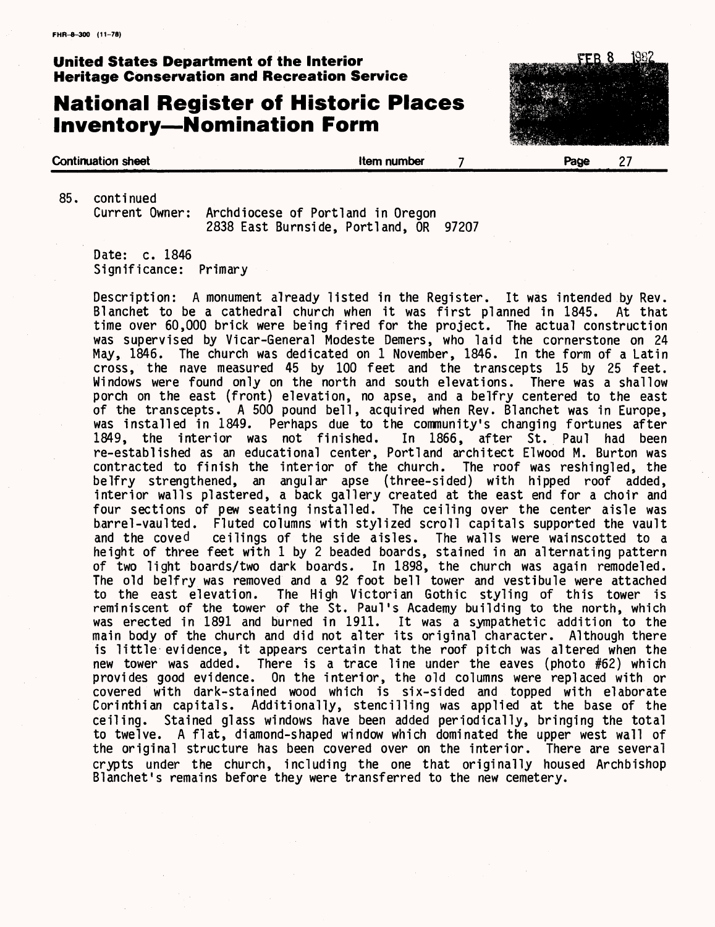## **National Register of Historic Places Inventory—Nomination Form**



85. continued Archdiocese of Portland in Oregon 2838 East Burnside, Portland, OR 97207

Date: c. 1846 Significance: Primary

Description: A monument already listed in the Register. It was intended by Rev. Blanchet to be a cathedral church when it was first planned in 1845. At that time over 60,000 brick were being fired for the project. The actual construction was supervised by Vicar-General Modeste Demers, who laid the cornerstone on 24 May, 1846. The church was dedicated on 1 November, 1846. In the form of a Latin cross, the nave measured 45 by 100 feet and the transcepts 15 by 25 feet. Windows were found only on the north and south elevations. There was a shallow porch on the east (front) elevation, no apse, and a belfry centered to the east of the transcepts. A 500 pound bell, acquired when Rev. Blanchet was in Europe, was installed in 1849. Perhaps due to the community's changing fortunes after 1849, the interior was not finished. In 1866, after St. Paul had been re-established as an educational center, Portland architect El wood M. Burton was contracted to finish the interior of the church. The roof was reshingled, the belfry strengthened, an angular apse (three-sided) with hipped roof added, interior walls plastered, a back gallery created at the east end for a choir and four sections of pew seating installed. The ceiling over the center aisle was barrel-vaulted. Fluted columns with stylized scroll capitals supported the vault and the coved ceilings of the side aisles. The walls were wainscotted to a height of three feet with 1 by 2 beaded boards, stained in an alternating pattern of two light boards/two dark boards. In 1898, the church was again remodeled. The old belfry was removed and a 92 foot bell tower and vestibule were attached to the east elevation. The High Victorian Gothic styling of this tower is reminiscent of the tower of the St. Paul's Academy building to the north, which was erected in 1891 and burned in 1911. It was a sympathetic addition to the main body of the church and did not alter its original character. Although there is little evidence, it appears certain that the roof pitch was altered when the new tower was added. There is a trace line under the eaves (photo #62) which provides good evidence. On the interior, the old columns were replaced with or covered with dark-stained wood which is six-sided and topped with elaborate Corinthian capitals. Additionally, stencilling was applied at the base of the ceiling. Stained glass windows have been added periodically, bringing the total to twelve. A flat, diamond-shaped window which dominated the upper west wall of the original structure has been covered over on the interior. There are several crypts under the church, including the one that originally housed Archbishop Blanchet's remains before they were transferred to the new cemetery.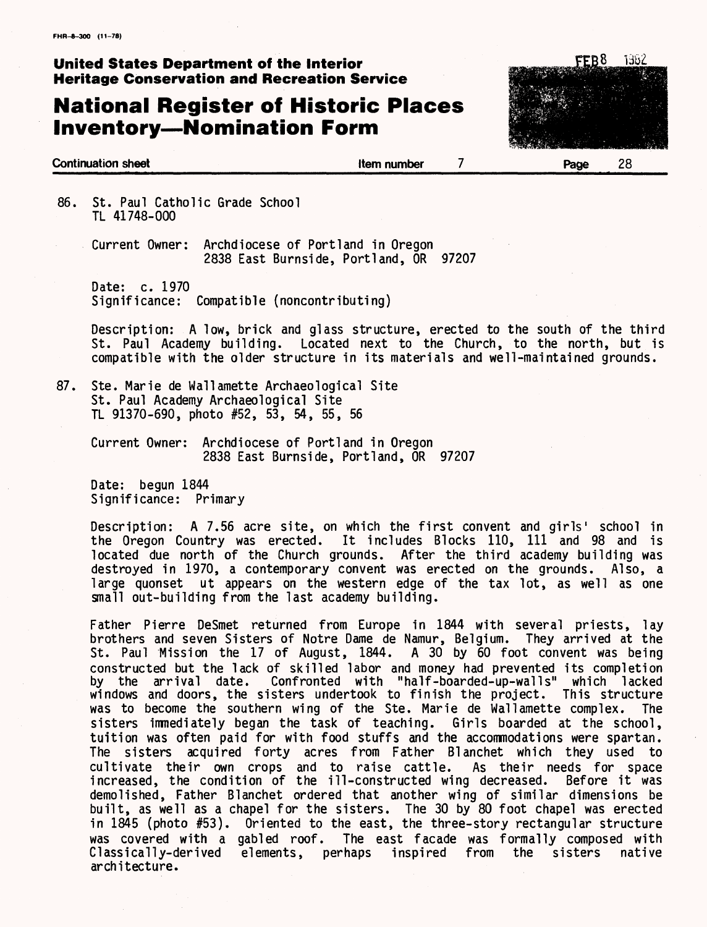## **National Register of Historic Places Inventory—Nomination Form**



86. St. Paul Catholic Grade School TL 41748-000

> Current Owner: Archdiocese of Portland in Oregon 2838 East Burnside, Portland, OR 97207

Date: c. 1970 Significance: Compatible (noncontributing)

Description: A low, brick and glass structure, erected to the south of the third St. Paul Academy building. Located next to the Church, to the north, but is compatible with the older structure in its materials and we11-maintained grounds.

87. Ste. Marie de Wallamette Archaeological Site St. Paul Academy Archaeological Site TL 91370-690, photo #52, 53, 54, 55, 56

Current Owner: Archdiocese of Portland in Oregon 2838 East Burnside, Portland, OR 97207

Date: begun 1844 Significance: Primary

Description: A 7.56 acre site, on which the first convent and girls' school in the Oregon Country was erected. It includes Blocks 110, 111 and 98 and is located due north of the Church grounds. After the third academy building was destroyed in 1970, a contemporary convent was erected on the grounds. Also, a large quonset ut appears on the western edge of the tax lot, as well as one small out-building from the last academy building.

Father Pierre DeSmet returned from Europe in 1844 with several priests, lay brothers and seven Sisters of Notre Dame de Namur, Belgium. They arrived at the St. Paul Mission the 17 of August, 1844. A 30 by 60 foot convent was being constructed but the lack of skilled labor and money had prevented its completion by the arrival date. Confronted with "half-boarded-up-walls" which lacked windows and doors, the sisters undertook to finish the project. This structure was to become the southern wing of the Ste. Marie de Wallamette complex. The sisters immediately began the task of teaching. Girls boarded at the school, tuition was often paid for with food stuffs and the accommodations were spartan. The sisters acquired forty acres from Father Blanchet which they used to cultivate their own crops and to raise cattle. As their needs for space increased, the condition of the ill-constructed wing decreased. Before it was demolished, Father Blanchet ordered that another wing of similar dimensions be built, as well as a chapel for the sisters. The 30 by 80 foot chapel was erected in 1845 (photo #53). Oriented to the east, the three-story rectangular structure was covered with a gabled roof. The east facade was formally composed with Classically-derived elements, perhaps inspired from the sisters native architecture.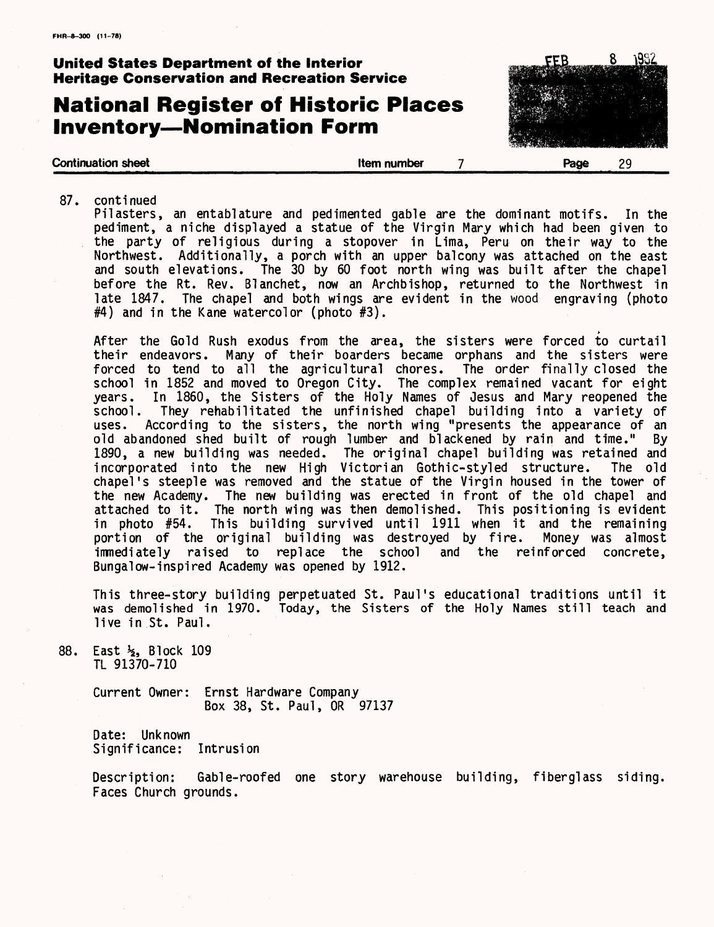## **National Register of Historic Places Inventory—Nomination Form**

**Continuation sheet Continuation sheet Continuation sheet 7 Page** 29

87. continued

Pilasters, an entablature and pedimented gable are the dominant motifs. In the pediment, a niche displayed a statue of the Virgin Mary which had been given to the party of religious during a stopover in Lima, Peru on their way to the Northwest. Additionally, a porch with an upper balcony was attached on the east and south elevations. The 30 by 60 foot north wing was built after the chapel before the Rt. Rev. Blanchet, now an Archbishop, returned to the Northwest in late 1847. The chapel and both wings are evident in the wood engraving (photo  $#4$ ) and in the Kane watercolor (photo  $#3$ ).

After the Gold Rush exodus from the area, the sisters were forced to curtail their endeavors. Many of their boarders became orphans and the sisters were forced to tend to all the agricultural chores. The order finally closed the school in 1852 and moved to Oregon City. The complex remained vacant for eight years. In 1860, the Sisters of the Holy Names of Jesus and Mary reopened the school. They rehabilitated the unfinished chapel building into a variety of uses. According to the sisters, the north wing "presents the appearance of an old abandoned shed built of rough lumber and blackened by rain and time." By 1890, a new building was needed. The original chapel building was retained and<br>incorporated into the new High Victorian Gothic-styled structure. The old incorporated into the new High Victorian Gothic-styled structure. chapel's steeple was removed and the statue of the Virgin housed in the tower of the new Academy. The new building was erected in front of the old chapel and attached to it. The north wing was then demolished. This positioning is evident<br>in photo #54. This building survived until 1911 when it and the remaining This building survived until 1911 when it and the remaining<br>original building was destroyed by fire. Money was almost portion of the original building was destroyed by fire. Money w<br>immediately raised to replace the school and the reinforced to replace the school and the reinforced concrete, Bungalow-inspired Academy was opened by 1912.

This three-story building perpetuated St. Paul's educational traditions until it was demolished in 1970. Today, the Sisters of the Holy Names still teach and live in St. Paul.

88. East *%,* Block 109 TL 91370-710

> Current Owner: Ernst Hardware Company Box 38, St. Paul, OR 97137

Date: Unknown Significance: Intrusion

Description: Gable-roofed one story warehouse building, fiberglass siding. Faces Church grounds.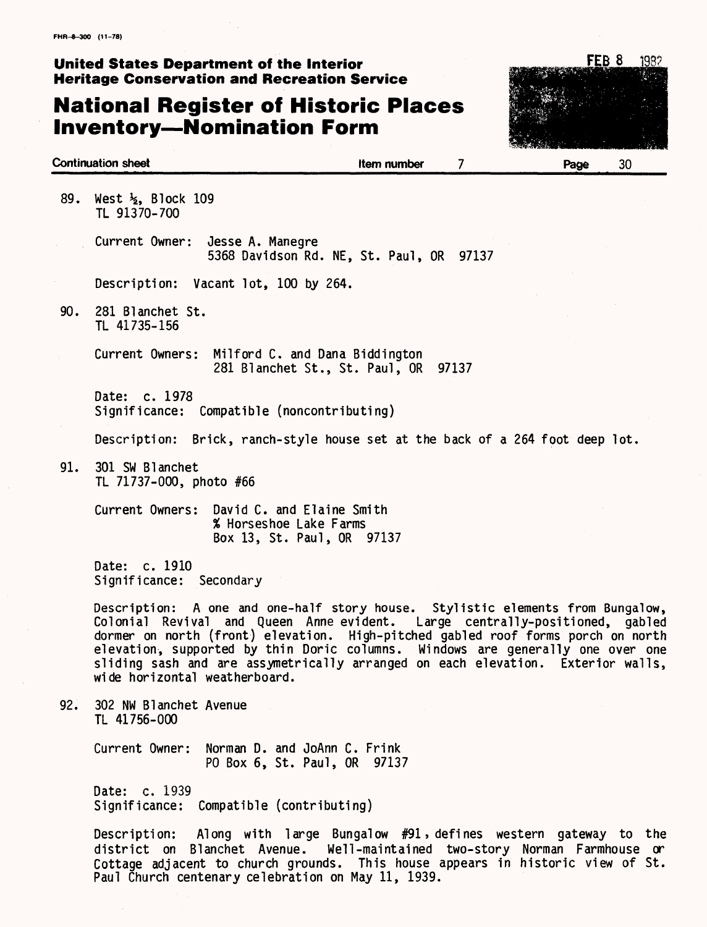## **National Register of Historic Places Inventory—Nomination Form**

Paul Church centenary celebration on May 11, 1939.



**Continuation sheet** and the state of the state of the number and  $\overline{7}$  and  $\overline{8}$  Page  $\overline{30}$ 89. West <sup>12</sup>/<sub>2</sub>, Block 109 TL 91370-700 Current Owner: Jesse A. Manegre 5368 Davidson Rd. NE, St. Paul, OR 97137 Description: Vacant lot, 100 by 264. 90. 281 Blanchet St. TL 41735-156 Current Owners: Milford C. and Dana Biddington 281 Blanchet St., St. Paul, OR 97137 Date: c. 1978 Significance: Compatible (noncontributing) Description: Brick, ranch-style house set at the back of a 264 foot deep lot. 91. 301 SW Blanchet TL 71737-000, photo #66 Current Owners: David C. and Elaine Smith % Horseshoe Lake Farms Box 13, St. Paul, OR 97137 Date: c. 1910 Significance: Secondary Description: A one and one-half story house. Stylistic elements from Bungalow, Colonial Revival and Queen Anne evident. Large centrally-positioned, gabled dormer on north (front) elevation. High-pitched gabled roof forms porch on north elevation, supported by thin Doric columns. Windows are generally one over one sliding sash and are assymetrically arranged on each elevation. Exterior walls, wide horizontal weatherboard. 92. 302 NW Blanchet Avenue TL 41756-000 Current Owner: Norman D. and JoAnn C. Frink PO Box 6, St. Paul, OR 97137 Date: c. 1939 Significance: Compatible (contributing) Description: Along with large Bungalow #91» defines western gateway to the district on Blanchet Avenue. Well-maintained two-story Norman Farmhouse or Cottage adjacent to church grounds. This house appears in historic view of St.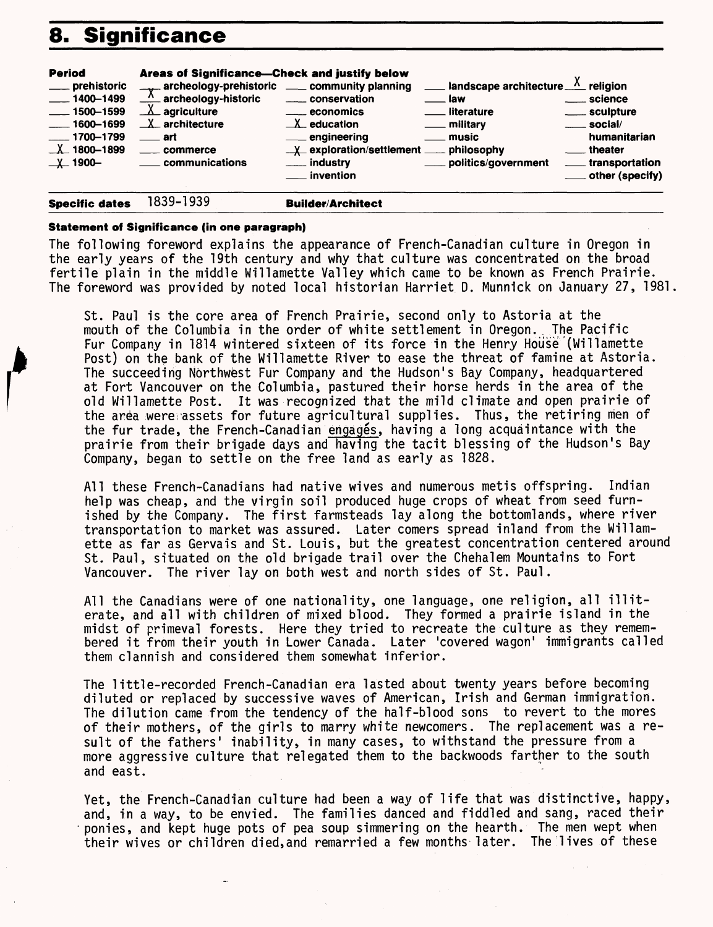## **8. Significance**

| <b>Period</b><br>___ prehistoric<br>$\frac{1}{2}$ 1400-1499<br>$\frac{1}{2}$ 1500-1599<br>$\frac{1600 - 1699}{1600 - 1699}$<br>$-1700 - 1799$<br>$X$ 1800-1899<br>$\perp$ 1900- | Areas of Significance-Check and justify below<br>$\frac{1}{2}$ archeology-prehistoric $\frac{1}{2}$ community planning<br>$\frac{\lambda}{\lambda}$ archeology-historic<br>$X$ agriculture<br>$X$ architecture<br><u>____</u> art<br>____ commerce<br><u>__</u> __ communications | _____ conservation<br>$\equiv$ economics<br>$\mathbf{X}$ education<br>___ engineering<br>$\frac{1}{2}$ exploration/settlement $\frac{1}{2}$ philosophy<br>___ industry<br><i>i</i> nvention | <b>1997</b> Iandscape architecture $\frac{X}{X}$ religion<br><u>_____</u> law<br><u>__</u> _ literature<br>___ military<br><u>_</u> __ music<br>politics/government | ____ science<br>____ sculpture<br>$\equiv$ social/<br>humanitarian<br><u>__</u> theater<br>_____ transportation<br>____ other (specify) |
|---------------------------------------------------------------------------------------------------------------------------------------------------------------------------------|-----------------------------------------------------------------------------------------------------------------------------------------------------------------------------------------------------------------------------------------------------------------------------------|---------------------------------------------------------------------------------------------------------------------------------------------------------------------------------------------|---------------------------------------------------------------------------------------------------------------------------------------------------------------------|-----------------------------------------------------------------------------------------------------------------------------------------|
| <b>Specific dates</b>                                                                                                                                                           | 1839-1939                                                                                                                                                                                                                                                                         | <b>Builder/Architect</b>                                                                                                                                                                    |                                                                                                                                                                     |                                                                                                                                         |

#### **Statement of Significance (in one paragraph)**

The following foreword explains the appearance of French-Canadian culture in Oregon in the early years of the 19th century and why that culture was concentrated on the broad fertile plain in the middle Willamette Valley which came to be known as French Prairie. The foreword was provided by noted local historian Harriet D. Munnick on January 27, 1981

St. Paul is the core area of French Prairie, second only to Astoria at the mouth of the Columbia in the order of white settlement in Oregon. The Pacific Fur Company in 1814 wintered sixteen of its force in the Henry House (Willamette Post) on the bank of the Willamette River to ease the threat of famine at Astoria. The succeeding Northwest Fur Company and the Hudson's Bay Company, headquartered at Fort Vancouver on the Columbia, pastured their horse herds in the area of the old Willamette Post. It was recognized that the mild climate and open prairie of the area were;assets for future agricultural supplies. Thus, the retiring men of the fur trade, the French-Canadian engages, having a long acquaintance with the prairie from their brigade days and having the tacit blessing of the Hudson's Bay Company, began to settle on the free land as early as 1828.

All these French-Canadians had native wives and numerous metis offspring. Indian help was cheap, and the virgin soil produced huge crops of wheat from seed furnished by the Company. The first farmsteads lay along the bottomlands, where river transportation to market was assured. Later comers spread inland from the Willamette as far as Gervais and St. Louis, but the greatest concentration centered around St. Paul, situated on the old brigade trail over the Chehalem Mountains to Fort Vancouver. The river lay on both west and north sides of St. Paul.

All the Canadians were of one nationality, one language, one religion, all illiterate, and all with children of mixed blood. They formed a prairie island in the midst of primeval forests. Here they tried to recreate the culture as they remembered it from their youth in Lower Canada. Later 'covered wagon' immigrants called them clannish and considered them somewhat inferior.

The little-recorded French-Canadian era lasted about twenty years before becoming diluted or replaced by successive waves of American, Irish and German immigration. The dilution came from the tendency of the half-blood sons to revert to the mores of their mothers, of the girls to marry white newcomers. The replacement was a result of the fathers' inability, in many cases, to withstand the pressure from a more aggressive culture that relegated them to the backwoods farther to the south and east.

Yet, the French-Canadian culture had been a way of life that was distinctive, happy, and, in a way, to be envied. The families danced and fiddled and sang, raced their •ponies, and kept huge pots of pea soup simmering on the hearth. The men wept when their wives or children died, and remarried a few months later. The lives of these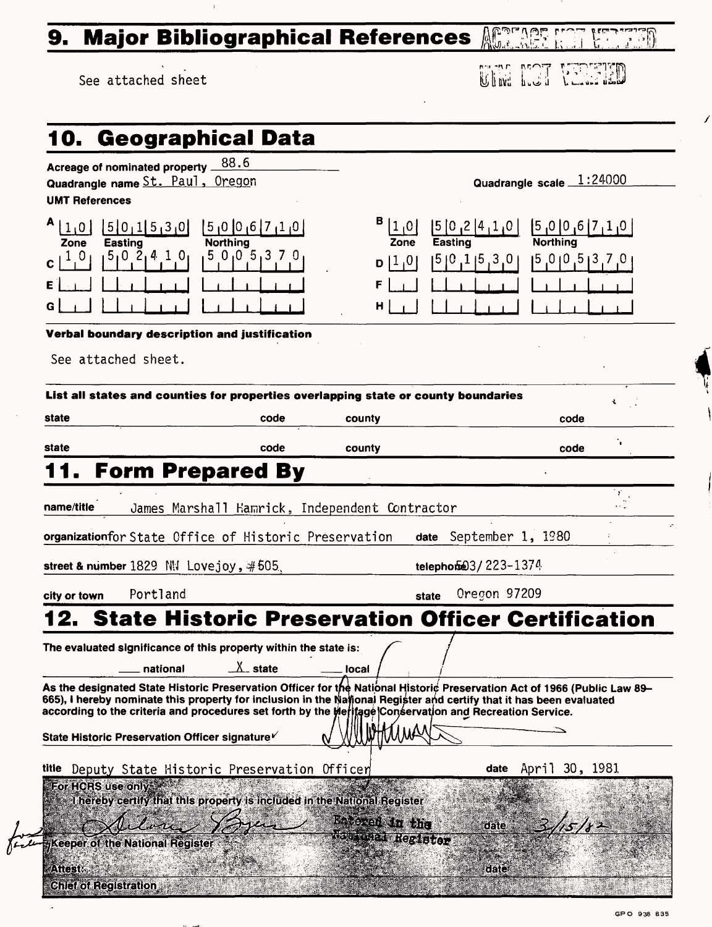## **9. Major Bibliographical References**

See attached sheet

| مصالف والأن |  |  |
|-------------|--|--|
|             |  |  |

Í

**UTM NOT VERFIED** 

| Acreage of nominated property 88.6                                                                                                                                                                                                                                                                                          |                                                                          |                                     |                          |                  |  |
|-----------------------------------------------------------------------------------------------------------------------------------------------------------------------------------------------------------------------------------------------------------------------------------------------------------------------------|--------------------------------------------------------------------------|-------------------------------------|--------------------------|------------------|--|
| Quadrangle name St. Paul, Oregon                                                                                                                                                                                                                                                                                            |                                                                          |                                     | Quadrangle scale 1:24000 |                  |  |
| <b>UMT References</b>                                                                                                                                                                                                                                                                                                       |                                                                          |                                     |                          |                  |  |
| д<br>[5]0,1[5,3]0]<br> 1,0                                                                                                                                                                                                                                                                                                  | [5]0[0]6[7]10                                                            | 0، 1                                | 5 0,2 4,1,0              | [5]0[0]6[7]1[0]  |  |
| Zone<br><b>Easting</b>                                                                                                                                                                                                                                                                                                      | <b>Northing</b>                                                          | Zone                                | <b>Easting</b>           | <b>Northing</b>  |  |
| $5_10\ \ 2_14\ \ 1\ \ 0_1$<br>1 <sub>0</sub>                                                                                                                                                                                                                                                                                | 50,05,370                                                                | 1,0 <br>D                           | 5 0,1 5,3 0              | 0, 5, 6, 6, 7, 0 |  |
|                                                                                                                                                                                                                                                                                                                             |                                                                          |                                     |                          |                  |  |
| G                                                                                                                                                                                                                                                                                                                           |                                                                          | н                                   |                          |                  |  |
| Verbal boundary description and justification                                                                                                                                                                                                                                                                               |                                                                          |                                     |                          |                  |  |
| See attached sheet.                                                                                                                                                                                                                                                                                                         |                                                                          |                                     |                          |                  |  |
|                                                                                                                                                                                                                                                                                                                             |                                                                          |                                     |                          |                  |  |
| List all states and counties for properties overlapping state or county boundaries                                                                                                                                                                                                                                          |                                                                          |                                     |                          | ÷.               |  |
| state                                                                                                                                                                                                                                                                                                                       | code                                                                     | county                              |                          | code             |  |
| state                                                                                                                                                                                                                                                                                                                       | code                                                                     | county                              |                          | code             |  |
| 11. Form Prepared By                                                                                                                                                                                                                                                                                                        |                                                                          |                                     |                          |                  |  |
|                                                                                                                                                                                                                                                                                                                             |                                                                          |                                     |                          |                  |  |
| name/title                                                                                                                                                                                                                                                                                                                  | James Marshall Hamrick, Independent Contractor                           |                                     |                          |                  |  |
|                                                                                                                                                                                                                                                                                                                             | organizationfor State Office of Historic Preservation                    |                                     | date September 1, 1980   |                  |  |
|                                                                                                                                                                                                                                                                                                                             |                                                                          |                                     |                          |                  |  |
|                                                                                                                                                                                                                                                                                                                             |                                                                          |                                     |                          |                  |  |
| street & number $1829$ NN Lovejoy, $#505$                                                                                                                                                                                                                                                                                   |                                                                          |                                     | telephone 3/223-1374     |                  |  |
| Portland<br>city or town                                                                                                                                                                                                                                                                                                    |                                                                          |                                     | Oregon 97209<br>state    |                  |  |
|                                                                                                                                                                                                                                                                                                                             | <b>State Historic Preservation Officer Certification</b>                 |                                     |                          |                  |  |
| The evaluated significance of this property within the state is:                                                                                                                                                                                                                                                            |                                                                          |                                     |                          |                  |  |
| national                                                                                                                                                                                                                                                                                                                    | $X_$ state                                                               | local                               |                          |                  |  |
| As the designated State Historic Preservation Officer for the National Historic Preservation Act of 1966 (Public Law 89-                                                                                                                                                                                                    |                                                                          |                                     |                          |                  |  |
|                                                                                                                                                                                                                                                                                                                             |                                                                          |                                     |                          |                  |  |
|                                                                                                                                                                                                                                                                                                                             |                                                                          |                                     |                          |                  |  |
|                                                                                                                                                                                                                                                                                                                             |                                                                          |                                     |                          |                  |  |
|                                                                                                                                                                                                                                                                                                                             | Deputy State Historic Preservation Officer                               |                                     | April<br>date            | 30, 1981         |  |
| For HCRS use only                                                                                                                                                                                                                                                                                                           |                                                                          |                                     |                          |                  |  |
|                                                                                                                                                                                                                                                                                                                             | I hereby certify that this property is included in the National Register |                                     |                          |                  |  |
| 665), I hereby nominate this property for inclusion in the National Register and certify that it has been evaluated<br>according to the criteria and procedures set forth by the Meritage Conservation and Recreation Service.<br>State Historic Preservation Officer signature<br>title<br>Keeper of the National Register |                                                                          | Eatered in the<br>Raskanal Register | date                     |                  |  |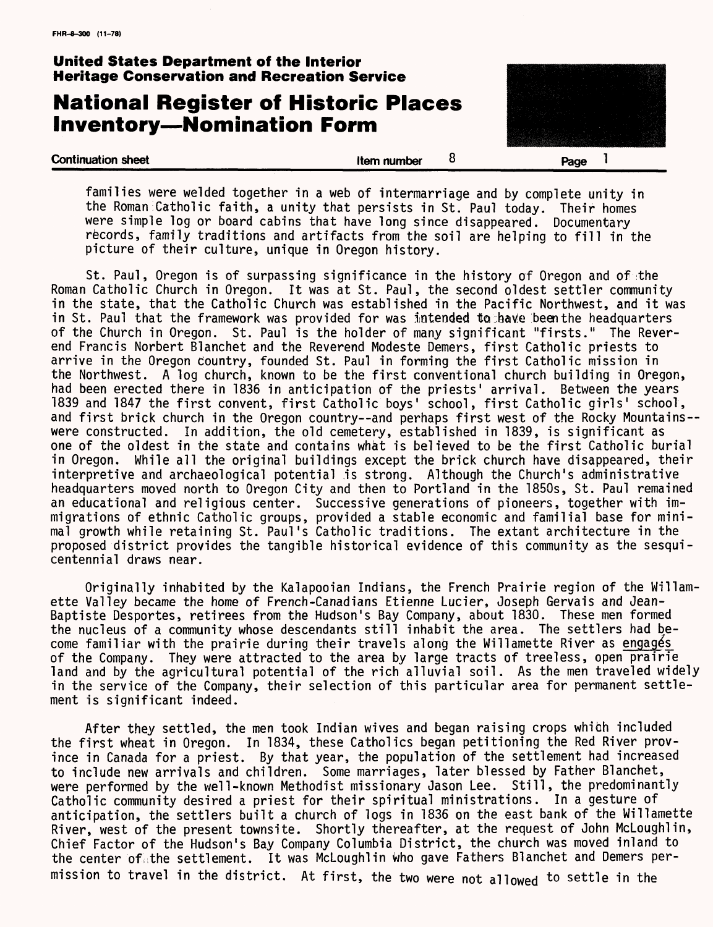## **National Register of Historic Places Inventory — Nomination Form**



families were welded together in a web of intermarriage and by complete unity in the Roman Catholic faith, a unity that persists in St. Paul today. Their homes were simple log or board cabins that have long since disappeared. Documentary records, family traditions and artifacts from the soil are helping to fill in the picture of their culture, unique in Oregon history.

St. Paul, Oregon is of surpassing significance in the history of Oregon and of the Roman Catholic Church in Oregon. It was at St. Paul, the second oldest settler community in the state, that the Catholic Church was established in the Pacific Northwest, and it was in St. Paul that the framework was provided for was intended to have been the headquarters of the Church in Oregon. St. Paul is the holder of many significant "firsts." The Reverend Francis Norbert Blanchet and the Reverend Modeste Demers, first Catholic priests to arrive in the Oregon country, founded St. Paul in forming the first Catholic mission in the Northwest. A log church, known to be the first conventional church building in Oregon, had been erected there in 1836 in anticipation of the priests' arrival. Between the years 1839 and 1847 the first convent, first Catholic boys' school, first Catholic girls' school, and first brick church in the Oregon country--and perhaps first west of the Rocky Mountains-were constructed. In addition, the old cemetery, established in 1839, is significant as one of the oldest in the state and contains what is believed to be the first Catholic burial in Oregon. While all the original buildings except the brick church have disappeared, their interpretive and archaeological potential is strong. Although the Church's administrative headquarters moved north to Oregon City and then to Portland in the 1850s, St. Paul remained an educational and religious center. Successive generations of pioneers, together with immigrations of ethnic Catholic groups, provided a stable economic and familial base for minimal growth while retaining St. Paul's Catholic traditions. The extant architecture in the proposed district provides the tangible historical evidence of this community as the sesquicentennial draws near.

Originally inhabited by the Kalapooian Indians, the French Prairie region of the Willamette Valley became the home of French-Canadians Etienne Lucier, Joseph Gervais and Jean-Baptiste Desportes, retirees from the Hudson's Bay Company, about 1830. These men formed the nucleus of a community whose descendants still inhabit the area. The settlers had become familiar with the prairie during their travels along the Willamette River as engages of the Company. They were attracted to the area by large tracts of treeless, open prairie land and by the agricultural potential of the rich alluvial soil. As the men traveled widely in the service of the Company, their selection of this particular area for permanent settlement is significant indeed.

After they settled, the men took Indian wives and began raising crops which included the first wheat in Oregon. In 1834, these Catholics began petitioning the Red River province in Canada for a priest. By that year, the population of the settlement had increased to include new arrivals and children. Some marriages, later blessed by Father Blanchet, were performed by the well-known Methodist missionary Jason Lee. Still, the predominantly Catholic community desired a priest for their spiritual ministrations. In a gesture of anticipation, the settlers built a church of logs in 1836 on the east bank of the Willamette River, west of the present townsite. Shortly thereafter, at the request of John McLoughlin, Chief Factor of the Hudson's Bay Company Columbia District, the church was moved inland to the center of the settlement. It was McLoughlin who gave Fathers Blanchet and Demers permission to travel in the district. At first, the two were not allowed to settle in the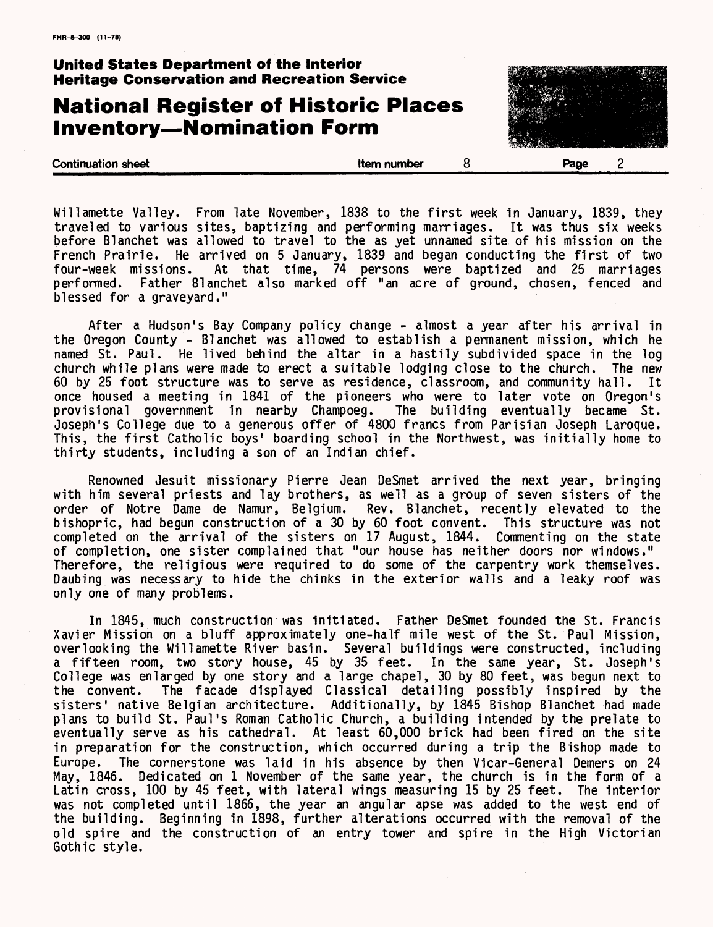## **National Register of Historic Places Inventory—Nomination Form**



Willamette Valley. From late November, 1838 to the first week in January, 1839, they traveled to various sites, baptizing and performing marriages. It was thus six weeks before Blanchet was allowed to travel to the as yet unnamed site of his mission on the French Prairie. He arrived on 5 January, 1839 and began conducting the first of two four-week missions. At that time, 74 persons were baptized and 25 marriages performed. Father Blanchet also marked off "an acre of ground, chosen, fenced and blessed for a graveyard."

After a Hudson's Bay Company policy change - almost a year after his arrival in the Oregon County - Blanchet was allowed to establish a permanent mission, which he named St. Paul. He lived behind the altar in a hastily subdivided space in the log church while plans were made to erect a suitable lodging close to the church. The new 60 by 25 foot structure was to serve as residence, classroom, and community hall. It once housed a meeting in 1841 of the pioneers who were to later vote on Oregon's provisional government in nearby Champoeg. The building eventually became St. Joseph's College due to a generous offer of 4800 francs from Parisian Joseph Laroque. This, the first Catholic boys' boarding school in the Northwest, was initially home to thirty students, including a son of an Indian chief.

Renowned Jesuit missionary Pierre Jean DeSmet arrived the next year, bringing with him several priests and lay brothers, as well as a group of seven sisters of the order of Notre Dame de Namur, Belgium. Rev. Blanchet, recently elevated to the bishopric, had begun construction of a 30 by 60 foot convent. This structure was not completed on the arrival of the sisters on 17 August, 1844. Commenting on the state of completion, one sister complained that "our house has neither doors nor windows." Therefore, the religious were required to do some of the carpentry work themselves. Daubing was necessary to hide the chinks in the exterior walls and a leaky roof was only one of many problems.

In 1845, much construction was initiated. Father DeSmet founded the St. Francis Xavier Mission on a bluff approximately one-half mile west of the St. Paul Mission, overlooking the Willamette River basin. Several buildings were constructed, including a fifteen room, two story house, 45 by 35 feet. In the same year, St. Joseph's College was enlarged by one story and a large chapel, 30 by 80 feet, was begun next to the convent. The facade displayed Classical detailing possibly inspired by the sisters' native Belgian architecture. Additionally, by 1845 Bishop Blanchet had made plans to build St. Paul's Roman Catholic Church, a building intended by the prelate to eventually serve as his cathedral. At least 60,000 brick had been fired on the site in preparation for the construction, which occurred during a trip the Bishop made to<br>Europe. The cornerstone was laid in his absence by then Vicar-General Demers on 24 The cornerstone was laid in his absence by then Vicar-General Demers on 24 May, 1846. Dedicated on 1 November of the same year, the church is in the form of a Latin cross, 100 by 45 feet, with lateral wings measuring 15 by 25 feet. The interior was not completed until 1866, the year an angular apse was added to the west end of the building. Beginning in 1898, further alterations occurred with the removal of the old spire and the construction of an entry tower and spire in the High Victorian Gothic style.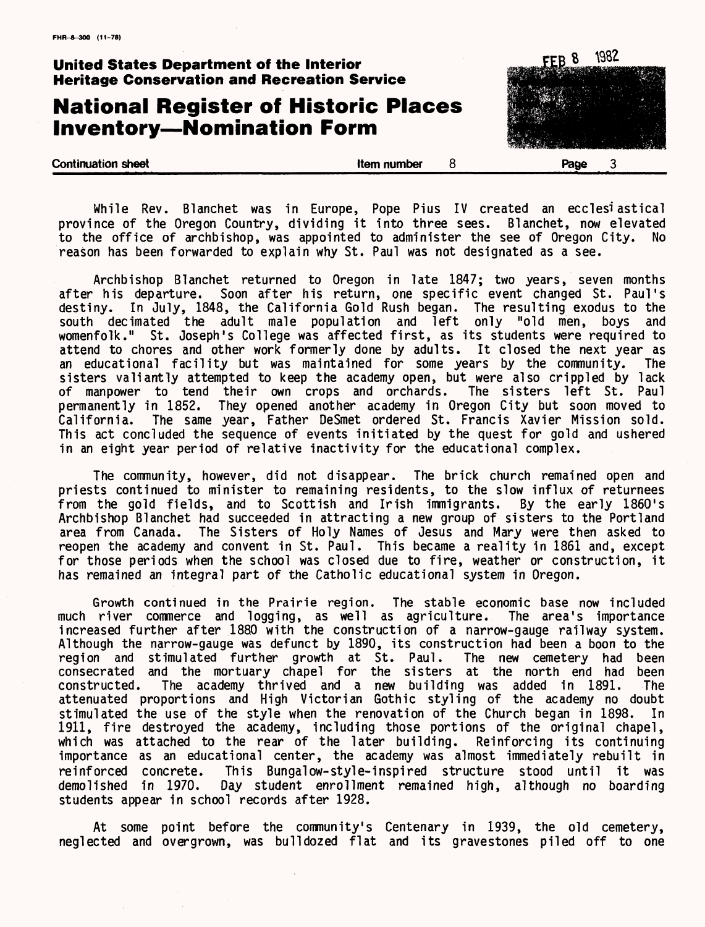1982 FFB 8 **United States Department of the Interior Heritage Conservation and Recreation Service National Register of Historic Places Inventory—Nomination Form**

While Rev. Blanchet was in Europe, Pope Pius IV created an eccles<sup>i</sup>astical<br>ince of the Oregon Country, dividing it into three sees. Blanchet, now elevated province of the Oregon Country, dividing it into three sees. to the office of archbishop, was appointed to administer the see of Oregon City. No reason has been forwarded to explain why St. Paul was not designated as a see.

**Continuation sheet Continuation sheet Item number 8 Page 3** 

Archbishop Blanchet returned to Oregon in late 1847; two years, seven months after his departure. Soon after his return, one specific event changed St. Paul's destiny. In July, 1848, the California Gold Rush began. The resulting exodus to the south decimated the adult male population and left only "old men, boys and womenfolk." St. Joseph's College was affected first, as its students were required to attend to chores and other work formerly done by adults. It closed the next year as an educational facility but was maintained for some years by the community. The sisters valiantly attempted to keep the academy open, but were also crippled by lack of manpower to tend their own crops and orchards. The sisters left St. Paul permanently in 1852. They opened another academy in Oregon City but soon moved to California. The same year, Father DeSmet ordered St. Francis Xavier Mission sold. This act concluded the sequence of events initiated by the quest for gold and ushered in an eight year period of relative inactivity for the educational complex.

The community, however, did not disappear. The brick church remained open and priests continued to minister to remaining residents, to the slow influx of returnees from the gold fields, and to Scottish and Irish immigrants. By the early 1860's Archbishop Blanchet had succeeded in attracting a new group of sisters to the Portland area from Canada. The Sisters of Holy Names of Jesus and Mary were then asked to reopen the academy and convent in St. Paul. This became a reality in 1861 and, except for those periods when the school was closed due to fire, weather or construction, it has remained an integral part of the Catholic educational system in Oregon.

Growth continued in the Prairie region. The stable economic base now included much river commerce and logging, as well as agriculture. The area's importance increased further after 1880 with the construction of a narrow-gauge railway system. Although the narrow-gauge was defunct by 1890, its construction had been a boon to the region and stimulated further growth at St. Paul. The new cemetery had been consecrated and the mortuary chapel for the sisters at the north end had been constructed. The academy thrived and a new building was added in 1891. The attenuated proportions and High Victorian Gothic styling of the academy no doubt stimulated the use of the style when the renovation of the Church began in 1898. In 1911, fire destroyed the academy, including those portions of the original chapel, which was attached to the rear of the later building. Reinforcing its continuing importance as an educational center, the academy was almost immediately rebuilt in reinforced concrete. This Bungalow-style-inspired structure stood until it was<br>demolished in 1970. Day student enrollment remained high, although no boarding Day student enrollment remained high, although no boarding students appear in school records after 1928.

At some point before the community's Centenary in 1939, the old cemetery, neglected and overgrown, was bulldozed flat and its gravestones piled off to one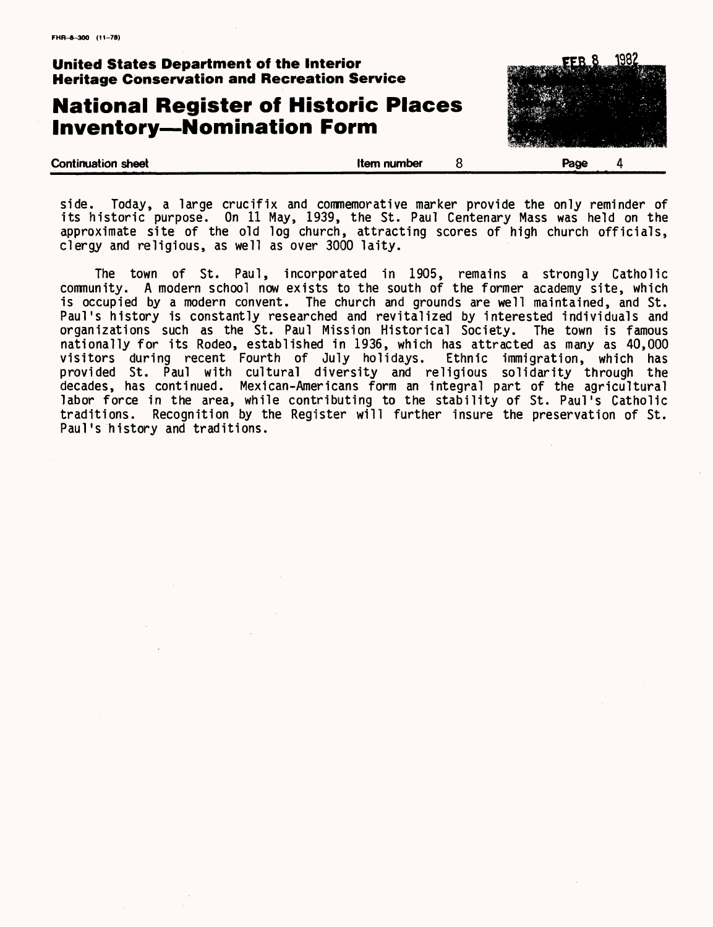## **National Register of Historic Places Inventory—Nomination Form**



side. Today, a large crucifix and commemorative marker provide the only reminder of its historic purpose. On 11 May, 1939, the St. Paul Centenary Mass was held on the approximate site of the old log church, attracting scores of high church officials, clergy and religious, as well as over 3000 laity.

The town of St. Paul, incorporated in 1905, remains a strongly Catholic community. A modern school now exists to the south of the former academy site, which is occupied by a modern convent. The church and grounds are well maintained, and St. Paul's history is constantly researched and revitalized by interested individuals and organizations such as the St. Paul Mission Historical Society. The town is famous nationally for its Rodeo, established in 1936, which has attracted as many as 40,000 visitors during recent Fourth of July holidays. Ethnic immigration, which has provided St. Paul with cultural diversity and religious solidarity through the decades, has continued. Mexican-Americans form an integral part of the agricultural labor force in the area, while contributing to the stability of St. Paul's Catholic traditions. Recognition by the Register will further insure the preservation of St. Paul's history and traditions.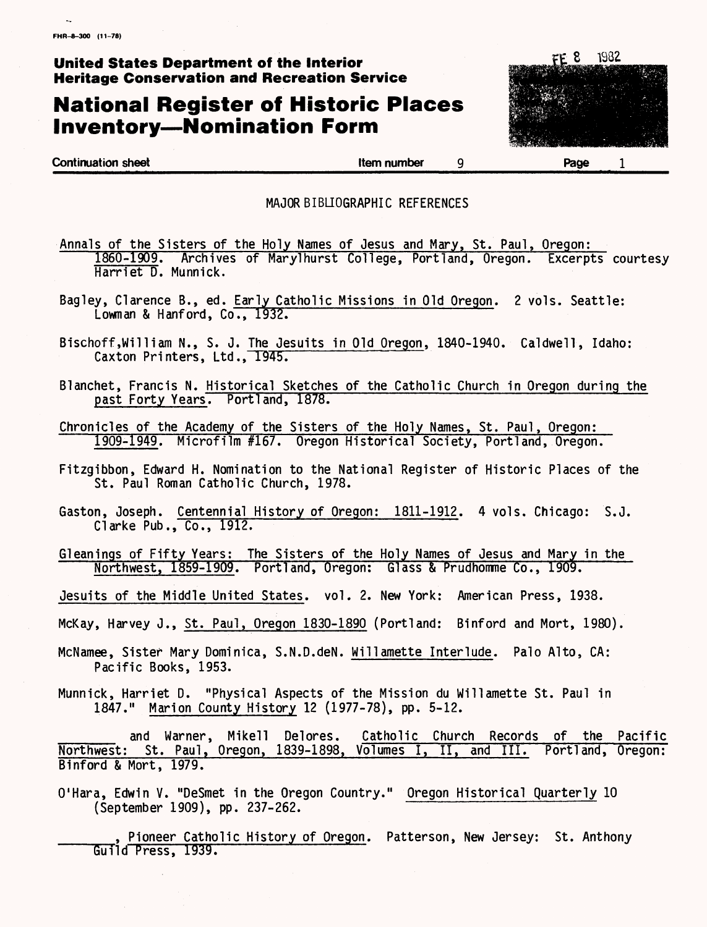## **National Register of Historic Places Inventory — Nomination Form**



**Continuation sheet Continuation sheet Continuation sheet Continuation sheet Continuation sheet Continuation Spage** 

#### MAJOR BIBLIOGRAPHIC REFERENCES

- Annals of the Sisters of the Holy Names of Jesus and Mary, St. Paul, Oregon: 1860-1909. Archives of Marylhurst College, Portland, Oregon. Excerpts courtesy Harriet D. Munnick.
- Bagley, Clarence B., ed. Early Catholic Missions in Old Oregon. 2 vols. Seattle:<br>Lowman & Hanford, Co., 1932.
- Bischoff,William N., S. J. The Jesuits in Old Oregon, 1840-1940. Caldwell, Idaho:<br>Caxton Printers, Ltd., 1945.
- Blanchet, Francis N. Historical Sketches of the Catholic Church in Oregon during the past Forty Years. Portland, 1878.
- Chronicles of the Academy of the Sisters of the Holy Names, St. Paul, Oregon: 1909-1949. Microfilm #167. Oregon Historical Society, Portland, Oregon.
- Fitzgibbon, Edward H. Nomination to the National Register of Historic Places of the St. Paul Roman Catholic Church, 1978.
- Gaston, Joseph. Centennial History of Oregon: 1811-1912. 4 vols. Chicago: S.J. Clarke Pub., Co., 1912.
- Gleanings of Fifty Years: The Sisters of the Holy Names of Jesus and Mary in the Northwest, 1859-1909. Portland, Oregon: Glass & Prudhomme Co., 1909.
- Jesuits of the Middle United States, vol. 2. New York: American Press, 1938.
- McKay, Harvey J., St. Paul, Oregon 1830-1890 (Portland: Binford and Mort, 1980).
- McNamee, Sister Mary Dominica, S.N.D.deN. Willamette Interlude. Palo Alto, CA: Pacific Books, 1953.
- Munnick, Harriet D. "Physical Aspects of the Mission du Willamette St. Paul in 1847." Marion County History 12 (1977-78), pp. 5-12.

and Warner, Mikell Delores. Catholic Church Records of the Pacific Northwest: St. Paul, Oregon, 1839-1898, Volumes I, II, and III. Portland, Oregon: Binford & Mort, 1979.

- O'Hara, Edwin V. "DeSmet in the Oregon Country." Oregon Historical Quarterly 10 (September 1909), pp. 237-262.
	- Pioneer Catholic History of Oregon. Patterson, New Jersey: St. Anthony Guild Press, 1939.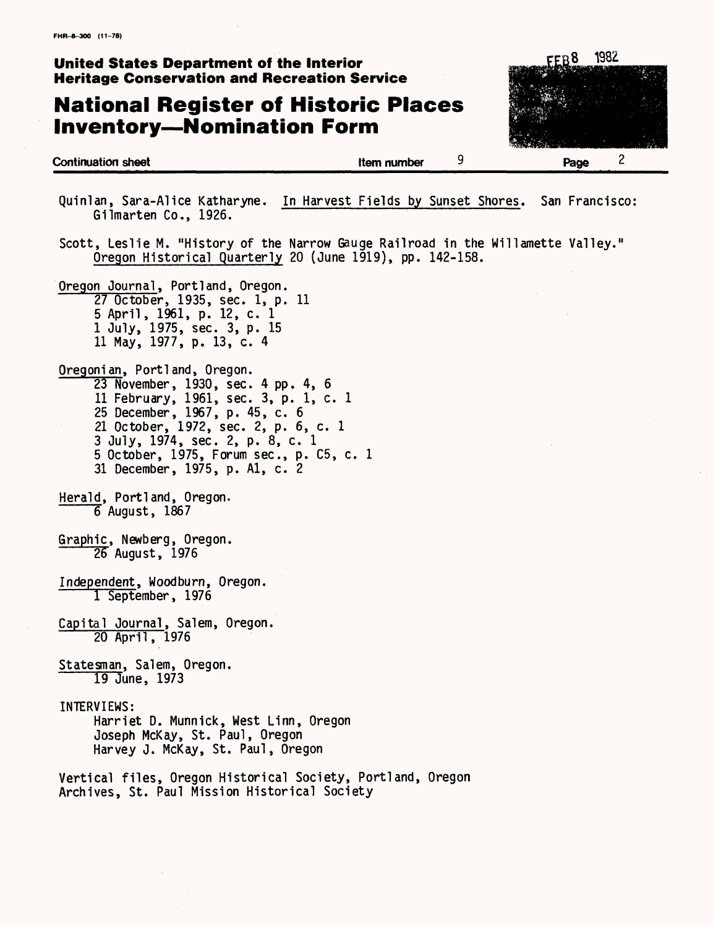## **National Register of Historic Places Inventory—Nomination Form**

**Continuation sheet Continuation sheet 9** 

| 1982<br>EEB8 |  |
|--------------|--|
|              |  |
|              |  |
|              |  |
|              |  |
|              |  |
| 2            |  |
| Page         |  |

Quinlan, Sara-Alice Katharyne. In Harvest Fields by Sunset Shores. San Francisco Gilmarten Co., 1926.

Scott, Leslie M. "History of the Narrow Gauge Railroad in the Willamette Valley." Oregon Historical Quarterly 20 (June 1919), pp. 142-158.

Oregon Journal, Portland, Oregon. 27 October, 1935, sec. 1, p. 11 5 April, 1961, p. 12, c. 1 I July, 1975, sec. 3, p. 15 II May, 1977, p. 13, c. 4

- Oregonian, Portland, Oregon. 23 November, 1930, sec. 4 pp. 4, 6 11 February, 1961, sec. 3, p. 1, c. 1 25 December, 1967, p. 45, c. 6 21 October, 1972, sec. 2, p. 6, c. 1 3 July, 1974, sec. 2, p. 8, c. 1 5 October, 1975, Forum sec., p. C5, c. 1 31 December, 1975, p. Al, c. 2
- Herald, Portland, Oregon. 6 August, 1867
- Graphic, Newberg, Oregon. 25 August, 1976
- Independent, Woodburn, Oregon. 1 September, 1976
- Capital Journal, Salem, Oregon. 20 April, 1976
- Statesman, Salem, Oregon. 19 June, 1973

INTERVIEWS:

Harriet D. Munnick, West Linn, Oregon Joseph McKay, St. Paul, Oregon Harvey J. McKay, St. Paul, Oregon

Vertical files, Oregon Historical Society, Portland, Oregon Archives, St. Paul Mission Historical Society